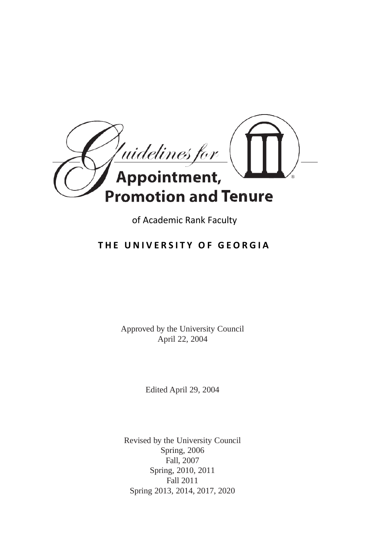

of Academic Rank Faculty

# **THE UNIVERSITY OF GEORGIA**

Approved by the University Council April 22, 2004

Edited April 29, 2004

Revised by the University Council Spring, 2006 Fall, 2007 Spring, 2010, 2011 Fall 2011 Spring 2013, 2014, 2017, 2020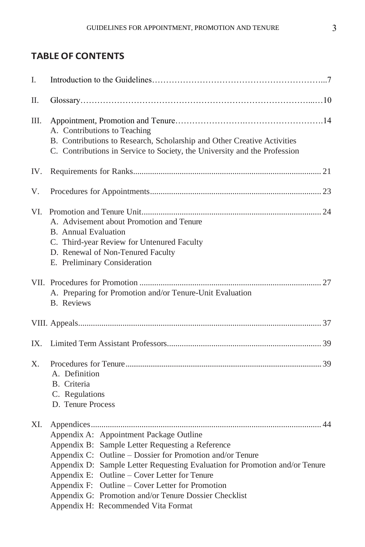# **TABLEOF CONTENTS**

| I.          |                                                                                                                                                                                                                                                                                                                                                                                                                                              |
|-------------|----------------------------------------------------------------------------------------------------------------------------------------------------------------------------------------------------------------------------------------------------------------------------------------------------------------------------------------------------------------------------------------------------------------------------------------------|
| Π.          |                                                                                                                                                                                                                                                                                                                                                                                                                                              |
| Ш.          | A. Contributions to Teaching<br>B. Contributions to Research, Scholarship and Other Creative Activities<br>C. Contributions in Service to Society, the University and the Profession                                                                                                                                                                                                                                                         |
| IV.         |                                                                                                                                                                                                                                                                                                                                                                                                                                              |
| V.          |                                                                                                                                                                                                                                                                                                                                                                                                                                              |
| VI.         | A. Advisement about Promotion and Tenure<br>B. Annual Evaluation<br>C. Third-year Review for Untenured Faculty<br>D. Renewal of Non-Tenured Faculty<br>E. Preliminary Consideration                                                                                                                                                                                                                                                          |
|             | A. Preparing for Promotion and/or Tenure-Unit Evaluation<br><b>B.</b> Reviews                                                                                                                                                                                                                                                                                                                                                                |
|             |                                                                                                                                                                                                                                                                                                                                                                                                                                              |
| IX.         |                                                                                                                                                                                                                                                                                                                                                                                                                                              |
| $X_{\cdot}$ | A. Definition<br>B. Criteria<br>C. Regulations<br>D. Tenure Process                                                                                                                                                                                                                                                                                                                                                                          |
| XI.         | Appendix A: Appointment Package Outline<br>Appendix B: Sample Letter Requesting a Reference<br>Appendix C: Outline – Dossier for Promotion and/or Tenure<br>Appendix D: Sample Letter Requesting Evaluation for Promotion and/or Tenure<br>Appendix E: Outline – Cover Letter for Tenure<br>Appendix F: Outline – Cover Letter for Promotion<br>Appendix G: Promotion and/or Tenure Dossier Checklist<br>Appendix H: Recommended Vita Format |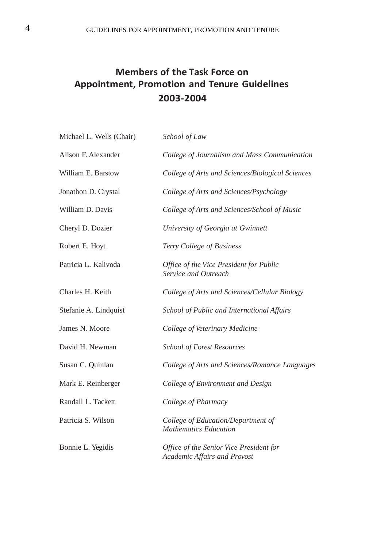# **Members of the Task Force on Appointment, Promotion and Tenure Guidelines 2003-2004**

| Michael L. Wells (Chair) | School of Law                                                           |
|--------------------------|-------------------------------------------------------------------------|
| Alison F. Alexander      | College of Journalism and Mass Communication                            |
| William E. Barstow       | College of Arts and Sciences/Biological Sciences                        |
| Jonathon D. Crystal      | College of Arts and Sciences/Psychology                                 |
| William D. Davis         | College of Arts and Sciences/School of Music                            |
| Cheryl D. Dozier         | University of Georgia at Gwinnett                                       |
| Robert E. Hoyt           | Terry College of Business                                               |
| Patricia L. Kalivoda     | Office of the Vice President for Public<br>Service and Outreach         |
| Charles H. Keith         | College of Arts and Sciences/Cellular Biology                           |
| Stefanie A. Lindquist    | School of Public and International Affairs                              |
| James N. Moore           | College of Veterinary Medicine                                          |
| David H. Newman          | School of Forest Resources                                              |
| Susan C. Quinlan         | College of Arts and Sciences/Romance Languages                          |
| Mark E. Reinberger       | College of Environment and Design                                       |
| Randall L. Tackett       | College of Pharmacy                                                     |
| Patricia S. Wilson       | College of Education/Department of<br><b>Mathematics Education</b>      |
| Bonnie L. Yegidis        | Office of the Senior Vice President for<br>Academic Affairs and Provost |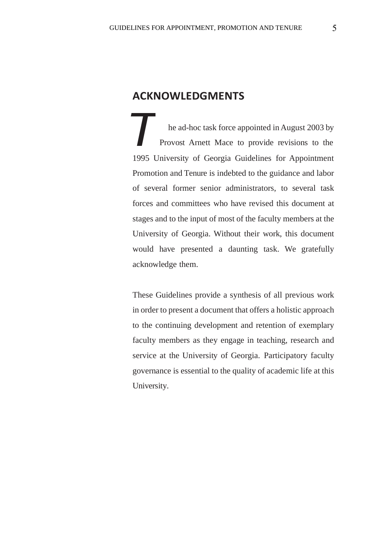### **ACKNOWLEDGMENTS**

*T* he ad-hoc task force appointed in August 2003 by Provost Arnett Mace to provide revisions to the 1995 University of Georgia Guidelines for Appointment Promotion and Tenure is indebted to the guidance and labor of several former senior administrators, to several task forces and committees who have revised this document at stages and to the input of most of the faculty members at the University of Georgia. Without their work, this document would have presented a daunting task. We gratefully acknowledge them.

These Guidelines provide a synthesis of all previous work in order to present a document that offers a holistic approach to the continuing development and retention of exemplary faculty members as they engage in teaching, research and service at the University of Georgia. Participatory faculty governance is essential to the quality of academic life at this University.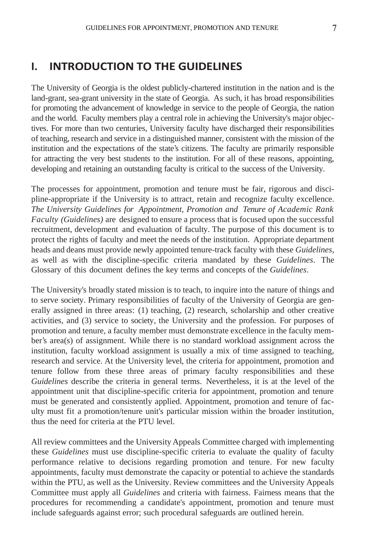The University of Georgia is the oldest publicly-chartered institution in the nation and is the land-grant, sea-grant university in the state of Georgia. As such, it has broad responsibilities for promoting the advancement of knowledge in service to the people of Georgia, the nation and the world. Faculty members play a central role in achieving the University's major objectives. For more than two centuries, University faculty have discharged their responsibilities of teaching, research and service in a distinguished manner, consistent with the mission of the institution and the expectations of the state's citizens. The faculty are primarily responsible for attracting the very best students to the institution. For all of these reasons, appointing, developing and retaining an outstanding faculty is critical to the success of the University.

The processes for appointment, promotion and tenure must be fair, rigorous and discipline-appropriate if the University is to attract, retain and recognize faculty excellence. *The University Guidelines for Appointment, Promotion and Tenure of Academic Rank Faculty (Guidelines)* are designed to ensure a process that is focused upon the successful recruitment, development and evaluation of faculty. The purpose of this document is to protect the rights of faculty and meet the needs of the institution. Appropriate department heads and deans must provide newly appointed tenure-track faculty with these *Guidelines*, as well as with the discipline-specific criteria mandated by these *Guidelines*. The Glossary of this document defines the key terms and concepts of the *Guidelines*.

The University's broadly stated mission is to teach, to inquire into the nature of things and to serve society. Primary responsibilities of faculty of the University of Georgia are generally assigned in three areas: (1) teaching, (2) research, scholarship and other creative activities, and (3) service to society, the University and the profession. For purposes of promotion and tenure, a faculty member must demonstrate excellence in the faculty member's area(s) of assignment. While there is no standard workload assignment across the institution, faculty workload assignment is usually a mix of time assigned to teaching, research and service. At the University level, the criteria for appointment, promotion and tenure follow from these three areas of primary faculty responsibilities and these *Guidelines* describe the criteria in general terms. Nevertheless, it is at the level of the appointment unit that discipline-specific criteria for appointment, promotion and tenure must be generated and consistently applied. Appointment, promotion and tenure of faculty must fit a promotion/tenure unit's particular mission within the broader institution, thus the need for criteria at the PTU level.

All review committees and the University Appeals Committee charged with implementing these *Guidelines* must use discipline-specific criteria to evaluate the quality of faculty performance relative to decisions regarding promotion and tenure. For new faculty appointments, faculty must demonstrate the capacity or potential to achieve the standards within the PTU, as well as the University. Review committees and the University Appeals Committee must apply all *Guidelines* and criteria with fairness. Fairness means that the procedures for recommending a candidate's appointment, promotion and tenure must include safeguards against error; such procedural safeguards are outlined herein.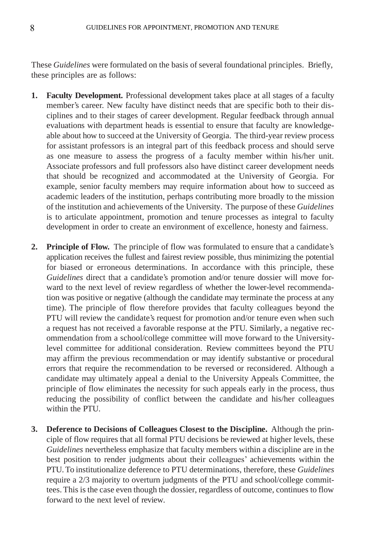These *Guidelines* were formulated on the basis of several foundational principles. Briefly, these principles are as follows:

- **1. Faculty Development.** Professional development takes place at all stages of a faculty member's career. New faculty have distinct needs that are specific both to their disciplines and to their stages of career development. Regular feedback through annual evaluations with department heads is essential to ensure that faculty are knowledgeable about how to succeed atthe University of Georgia. The third-year review process for assistant professors is an integral part of this feedback process and should serve as one measure to assess the progress of a faculty member within his/her unit. Associate professors and full professors also have distinct career development needs that should be recognized and accommodated at the University of Georgia. For example, senior faculty members may require information about how to succeed as academic leaders of the institution, perhaps contributing more broadly to the mission of the institution and achievements of the University. The purpose of these *Guidelines* is to articulate appointment, promotion and tenure processes as integral to faculty development in order to create an environment of excellence, honesty and fairness.
- **2. Principle of Flow.** The principle of flow was formulated to ensure that a candidate's application receives the fullest and fairest review possible, thus minimizing the potential for biased or erroneous determinations. In accordance with this principle, these *Guidelines* direct that a candidate's promotion and/or tenure dossier will move forward to the next level of review regardless of whether the lower-level recommendation was positive or negative (although the candidate may terminate the process at any time). The principle of flow therefore provides that faculty colleagues beyond the PTU will review the candidate's request for promotion and/or tenure even when such a request has not received a favorable response at the PTU. Similarly, a negative recommendation from a school/college committee will move forward to the Universitylevel committee for additional consideration. Review committees beyond the PTU may affirm the previous recommendation or may identify substantive or procedural errors that require the recommendation to be reversed or reconsidered. Although a candidate may ultimately appeal a denial to the University Appeals Committee, the principle of flow eliminates the necessity for such appeals early in the process, thus reducing the possibility of conflict between the candidate and his/her colleagues within the PTU.
- **3. Deference to Decisions of Colleagues Closest to the Discipline.** Although the principle of flow requires that all formal PTU decisions be reviewed at higher levels, these *Guidelines* nevertheless emphasize that faculty members within a discipline are in the best position to render judgments about their colleagues' achievements within the PTU.To institutionalize deference to PTU determinations, therefore, these *Guidelines* require a 2/3 majority to overturn judgments of the PTU and school/college committees. This is the case even though the dossier, regardless of outcome, continues to flow forward to the next level of review.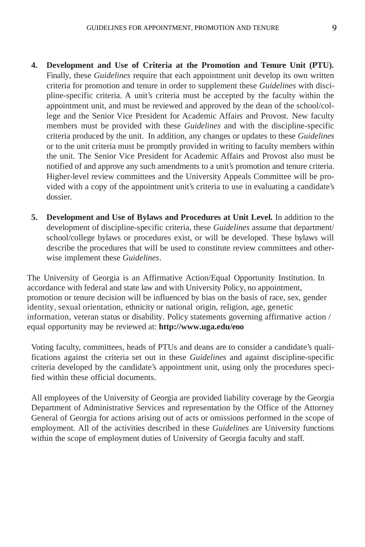- **4. Development and Use of Criteria at the Promotion and Tenure Unit (PTU).** Finally, these *Guidelines* require that each appointment unit develop its own written criteria for promotion and tenure in order to supplement these *Guidelines* with discipline-specific criteria. A unit's criteria must be accepted by the faculty within the appointment unit, and must be reviewed and approved by the dean of the school/college and the Senior Vice President for Academic Affairs and Provost. New faculty members must be provided with these *Guidelines* and with the discipline-specific criteria produced by the unit. In addition, any changes or updates to these *Guidelines* or to the unit criteria must be promptly provided in writing to faculty members within the unit. The Senior Vice President for Academic Affairs and Provost also must be notified of and approve any such amendments to a unit's promotion and tenure criteria. Higher-level review committees and the University Appeals Committee will be provided with a copy of the appointment unit's criteria to use in evaluating a candidate's dossier.
- **5. Development and Use of Bylaws and Procedures at Unit Level.** In addition to the development of discipline-specific criteria, these *Guidelines* assume that department/ school/college bylaws or procedures exist, or will be developed. These bylaws will describe the procedures that will be used to constitute review committees and otherwise implement these *Guidelines*.

The University of Georgia is an Affirmative Action/Equal Opportunity Institution. In accordance with federal and state law and with University Policy, no appointment, promotion or tenure decision will be influenced by bias on the basis of race, sex, gender identity, sexual orientation, ethnicity or national origin, religion, age, genetic information, veteran status or disability. Policy statements governing affirmative action / equal opportunity may be reviewed at: **<http://www.uga.edu/eoo>**

Voting faculty, committees, heads of PTUs and deans are to consider a candidate's qualifications against the criteria set out in these *Guidelines* and against discipline-specific criteria developed by the candidate's appointment unit, using only the procedures specified within these official documents.

All employees of the University of Georgia are provided liability coverage by the Georgia Department of Administrative Services and representation by the Office of the Attorney General of Georgia for actions arising out of acts or omissions performed in the scope of employment. All of the activities described in these *Guidelines* are University functions within the scope of employment duties of University of Georgia faculty and staff.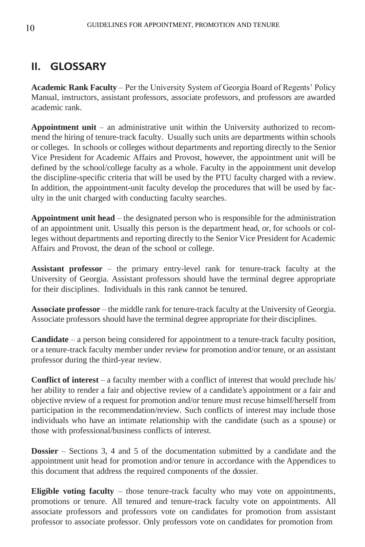# **II. GLOSSARY**

**Academic Rank Faculty** – Per the University System of Georgia Board of Regents' Policy Manual, instructors, assistant professors, associate professors, and professors are awarded academic rank.

**Appointment unit** – an administrative unit within the University authorized to recommend the hiring of tenure-track faculty. Usually such units are departments within schools or colleges. In schools or colleges without departments and reporting directly to the Senior Vice President for Academic Affairs and Provost, however, the appointment unit will be defined by the school/college faculty as a whole. Faculty in the appointment unit develop the discipline-specific criteria that will be used by the PTU faculty charged with a review. In addition, the appointment-unit faculty develop the procedures that will be used by faculty in the unit charged with conducting faculty searches.

**Appointment unit head** – the designated person who is responsible for the administration of an appointment unit. Usually this person is the department head, or, for schools or colleges without departments and reporting directly to the Senior Vice President for Academic Affairs and Provost, the dean of the school or college.

**Assistant professor** – the primary entry-level rank for tenure-track faculty at the University of Georgia. Assistant professors should have the terminal degree appropriate for their disciplines. Individuals in this rank cannot be tenured.

**Associate professor** – the middle rank for tenure-track faculty at the University of Georgia. Associate professors should have the terminal degree appropriate for their disciplines.

**Candidate** – a person being considered for appointment to a tenure-track faculty position, or a tenure-track faculty member under review for promotion and/or tenure, or an assistant professor during the third-year review.

**Conflict of interest** – a faculty member with a conflict of interest that would preclude his/ her ability to render a fair and objective review of a candidate's appointment or a fair and objective review of a request for promotion and/or tenure must recuse himself/herself from participation in the recommendation/review. Such conflicts of interest may include those individuals who have an intimate relationship with the candidate (such as a spouse) or those with professional/business conflicts of interest.

**Dossier** – Sections 3, 4 and 5 of the documentation submitted by a candidate and the appointment unit head for promotion and/or tenure in accordance with the Appendices to this document that address the required components of the dossier.

**Eligible voting faculty** – those tenure-track faculty who may vote on appointments, promotions or tenure. All tenured and tenure-track faculty vote on appointments. All associate professors and professors vote on candidates for promotion from assistant professor to associate professor. Only professors vote on candidates for promotion from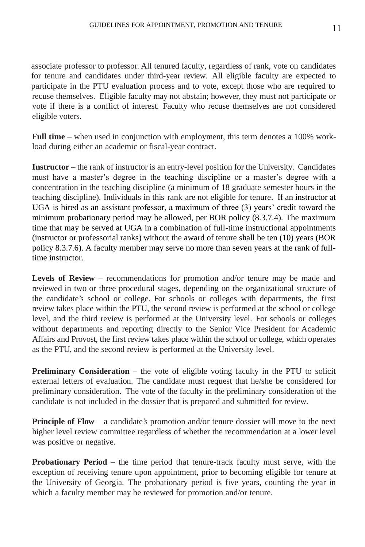associate professor to professor. All tenured faculty, regardless of rank, vote on candidates for tenure and candidates under third-year review. All eligible faculty are expected to participate in the PTU evaluation process and to vote, except those who are required to recuse themselves. Eligible faculty may not abstain; however, they must not participate or vote if there is a conflict of interest. Faculty who recuse themselves are not considered eligible voters.

**Full time** – when used in conjunction with employment, this term denotes a 100% workload during either an academic or fiscal-year contract.

**Instructor** – the rank of instructor is an entry-level position for the University. Candidates must have a master's degree in the teaching discipline or a master's degree with a concentration in the teaching discipline (a minimum of 18 graduate semester hours in the teaching discipline). Individuals in this rank are not eligible for tenure. If an instructor at UGA is hired as an assistant professor, a maximum of three (3) years' credit toward the minimum probationary period may be allowed, per BOR policy (8.3.7.4). The maximum time that may be served at UGA in a combination of full-time instructional appointments (instructor or professorial ranks) without the award of tenure shall be ten (10) years (BOR policy 8.3.7.6). A faculty member may serve no more than seven years at the rank of fulltime instructor.

**Levels of Review** – recommendations for promotion and/or tenure may be made and reviewed in two or three procedural stages, depending on the organizational structure of the candidate's school or college. For schools or colleges with departments, the first review takes place within the PTU, the second review is performed at the school or college level, and the third review is performed at the University level. For schools or colleges without departments and reporting directly to the Senior Vice President for Academic Affairs and Provost, the first review takes place within the school or college, which operates as the PTU, and the second review is performed at the University level.

**Preliminary Consideration** – the vote of eligible voting faculty in the PTU to solicit external letters of evaluation. The candidate must request that he/she be considered for preliminary consideration. The vote of the faculty in the preliminary consideration of the candidate is not included in the dossier that is prepared and submitted for review.

**Principle of Flow** – a candidate's promotion and/or tenure dossier will move to the next higher level review committee regardless of whether the recommendation at a lower level was positive or negative.

**Probationary Period** – the time period that tenure-track faculty must serve, with the exception of receiving tenure upon appointment, prior to becoming eligible for tenure at the University of Georgia. The probationary period is five years, counting the year in which a faculty member may be reviewed for promotion and/or tenure.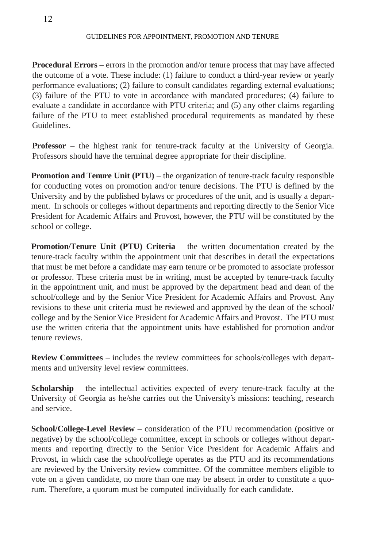**Procedural Errors** – errors in the promotion and/or tenure process that may have affected the outcome of a vote. These include: (1) failure to conduct a third-year review or yearly performance evaluations; (2) failure to consult candidates regarding external evaluations; (3) failure of the PTU to vote in accordance with mandated procedures; (4) failure to evaluate a candidate in accordance with PTU criteria; and (5) any other claims regarding failure of the PTU to meet established procedural requirements as mandated by these Guidelines.

**Professor** – the highest rank for tenure-track faculty at the University of Georgia. Professors should have the terminal degree appropriate for their discipline.

**Promotion and Tenure Unit (PTU)** – the organization of tenure-track faculty responsible for conducting votes on promotion and/or tenure decisions. The PTU is defined by the University and by the published bylaws or procedures of the unit, and is usually a department. In schools or colleges without departments and reporting directly to the Senior Vice President for Academic Affairs and Provost, however, the PTU will be constituted by the school or college.

**Promotion/Tenure Unit (PTU) Criteria** – the written documentation created by the tenure-track faculty within the appointment unit that describes in detail the expectations that must be met before a candidate may earn tenure or be promoted to associate professor or professor. These criteria must be in writing, must be accepted by tenure-track faculty in the appointment unit, and must be approved by the department head and dean of the school/college and by the Senior Vice President for Academic Affairs and Provost. Any revisions to these unit criteria must be reviewed and approved by the dean of the school/ college and by the Senior Vice President for Academic Affairs and Provost. The PTU must use the written criteria that the appointment units have established for promotion and/or tenure reviews.

**Review Committees** – includes the review committees for schools/colleges with departments and university level review committees.

**Scholarship** – the intellectual activities expected of every tenure-track faculty at the University of Georgia as he/she carries out the University's missions: teaching, research and service.

**School/College-Level Review** – consideration of the PTU recommendation (positive or negative) by the school/college committee, except in schools or colleges without departments and reporting directly to the Senior Vice President for Academic Affairs and Provost, in which case the school/college operates as the PTU and its recommendations are reviewed by the University review committee. Of the committee members eligible to vote on a given candidate, no more than one may be absent in order to constitute a quorum. Therefore, a quorum must be computed individually for each candidate.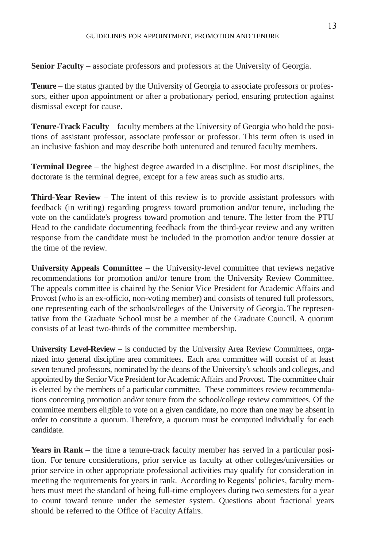**Senior Faculty** – associate professors and professors at the University of Georgia.

**Tenure** – the status granted by the University of Georgia to associate professors or professors, either upon appointment or after a probationary period, ensuring protection against dismissal except for cause.

**Tenure-Track Faculty** – faculty members at the University of Georgia who hold the positions of assistant professor, associate professor or professor. This term often is used in an inclusive fashion and may describe both untenured and tenured faculty members.

**Terminal Degree** – the highest degree awarded in a discipline. For most disciplines, the doctorate is the terminal degree, except for a few areas such as studio arts.

**Third-Year Review** – The intent of this review is to provide assistant professors with feedback (in writing) regarding progress toward promotion and/or tenure, including the vote on the candidate's progress toward promotion and tenure. The letter from the PTU Head to the candidate documenting feedback from the third-year review and any written response from the candidate must be included in the promotion and/or tenure dossier at the time of the review.

**University Appeals Committee** – the University-level committee that reviews negative recommendations for promotion and/or tenure from the University Review Committee. The appeals committee is chaired by the Senior Vice President for Academic Affairs and Provost (who is an ex-officio, non-voting member) and consists of tenured full professors, one representing each of the schools/colleges of the University of Georgia. The representative from the Graduate School must be a member of the Graduate Council. A quorum consists of at least two-thirds of the committee membership.

**University Level-Review** – is conducted by the University Area Review Committees, organized into general discipline area committees. Each area committee will consist of at least seven tenured professors, nominated by the deans of the University's schools and colleges, and appointed by the Senior Vice President for Academic Affairs and Provost. The committee chair is elected by the members of a particular committee. These committees review recommendations concerning promotion and/or tenure from the school/college review committees. Of the committee members eligible to vote on a given candidate, no more than one may be absent in order to constitute a quorum. Therefore, a quorum must be computed individually for each candidate.

**Years in Rank** – the time a tenure-track faculty member has served in a particular position. For tenure considerations, prior service as faculty at other colleges/universities or prior service in other appropriate professional activities may qualify for consideration in meeting the requirements for years in rank. According to Regents' policies, faculty members must meet the standard of being full-time employees during two semesters for a year to count toward tenure under the semester system. Questions about fractional years should be referred to the Office of Faculty Affairs.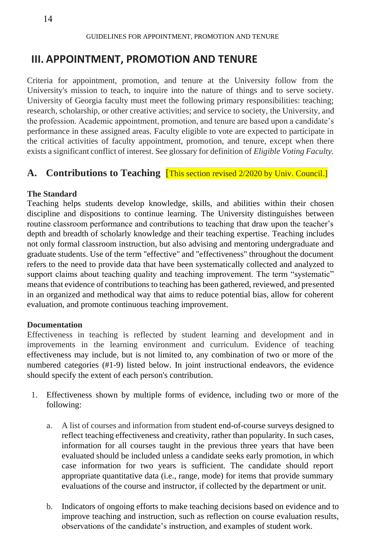# **III. APPOINTMENT, PROMOTION AND TENURE**

Criteria for appointment, promotion, and tenure at the University follow from the University's mission to teach, to inquire into the nature of things and to serve society. University of Georgia faculty must meet the following primary responsibilities: teaching; research, scholarship, or other creative activities; and service to society, the University, and the profession. Academic appointment, promotion, and tenure are based upon a candidate's performance in these assigned areas. Faculty eligible to vote are expected to participate in the critical activities of faculty appointment, promotion, and tenure, except when there exists a significant conflict of interest. See glossary for definition of *Eligible Voting Faculty.*

### **A. Contributions to Teaching** [This section revised 2/2020 by Univ. Council.]

#### **The Standard**

Teaching helps students develop knowledge, skills, and abilities within their chosen discipline and dispositions to continue learning. The University distinguishes between routine classroom performance and contributions to teaching that draw upon the teacher's depth and breadth of scholarly knowledge and their teaching expertise. Teaching includes not only formal classroom instruction, but also advising and mentoring undergraduate and graduate students. Use of the term "effective" and "effectiveness" throughout the document refers to the need to provide data that have been systematically collected and analyzed to support claims about teaching quality and teaching improvement. The term "systematic" means that evidence of contributions to teaching has been gathered, reviewed, and presented in an organized and methodical way that aims to reduce potential bias, allow for coherent evaluation, and promote continuous teaching improvement.

#### **Documentation**

Effectiveness in teaching is reflected by student learning and development and in improvements in the learning environment and curriculum. Evidence of teaching effectiveness may include, but is not limited to, any combination of two or more of the numbered categories (#1-9) listed below. In joint instructional endeavors, the evidence should specify the extent of each person's contribution.

- 1. Effectiveness shown by multiple forms of evidence, including two or more of the following:
	- a. A list of courses and information from student end-of-course surveys designed to reflect teaching effectiveness and creativity, rather than popularity. In such cases, information for all courses taught in the previous three years that have been evaluated should be included unless a candidate seeks early promotion, in which case information for two years is sufficient. The candidate should report appropriate quantitative data (i.e., range, mode) for items that provide summary evaluations of the course and instructor, if collected by the department or unit.
	- b. Indicators of ongoing efforts to make teaching decisions based on evidence and to improve teaching and instruction, such as reflection on course evaluation results, observations of the candidate's instruction, and examples of student work.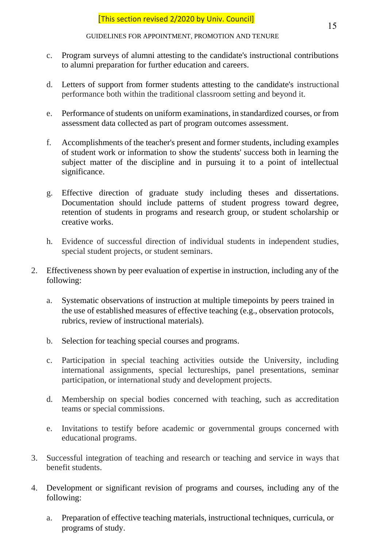- c. Program surveys of alumni attesting to the candidate's instructional contributions to alumni preparation for further education and careers.
- d. Letters of support from former students attesting to the candidate's instructional performance both within the traditional classroom setting and beyond it.
- e. Performance of students on uniform examinations, in standardized courses, or from assessment data collected as part of program outcomes assessment.
- f. Accomplishments of the teacher's present and former students, including examples of student work or information to show the students' success both in learning the subject matter of the discipline and in pursuing it to a point of intellectual significance.
- g. Effective direction of graduate study including theses and dissertations. Documentation should include patterns of student progress toward degree, retention of students in programs and research group, or student scholarship or creative works.
- h. Evidence of successful direction of individual students in independent studies, special student projects, or student seminars.
- 2. Effectiveness shown by peer evaluation of expertise in instruction, including any of the following:
	- a. Systematic observations of instruction at multiple timepoints by peers trained in the use of established measures of effective teaching (e.g., observation protocols, rubrics, review of instructional materials).
	- b. Selection for teaching special courses and programs.
	- c. Participation in special teaching activities outside the University, including international assignments, special lectureships, panel presentations, seminar participation, or international study and development projects.
	- d. Membership on special bodies concerned with teaching, such as accreditation teams or special commissions.
	- e. Invitations to testify before academic or governmental groups concerned with educational programs.
- 3. Successful integration of teaching and research or teaching and service in ways that benefit students.
- 4. Development or significant revision of programs and courses, including any of the following:
	- a. Preparation of effective teaching materials, instructional techniques, curricula, or programs of study.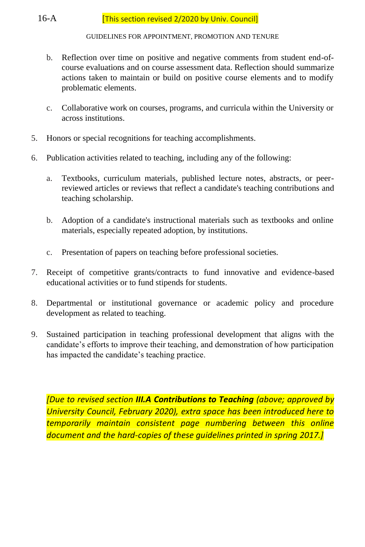- b. Reflection over time on positive and negative comments from student end-ofcourse evaluations and on course assessment data. Reflection should summarize actions taken to maintain or build on positive course elements and to modify problematic elements.
- c. Collaborative work on courses, programs, and curricula within the University or across institutions.
- 5. Honors or special recognitions for teaching accomplishments.
- 6. Publication activities related to teaching, including any of the following:
	- a. Textbooks, curriculum materials, published lecture notes, abstracts, or peerreviewed articles or reviews that reflect a candidate's teaching contributions and teaching scholarship.
	- b. Adoption of a candidate's instructional materials such as textbooks and online materials, especially repeated adoption, by institutions.
	- c. Presentation of papers on teaching before professional societies.
- 7. Receipt of competitive grants/contracts to fund innovative and evidence-based educational activities or to fund stipends for students.
- 8. Departmental or institutional governance or academic policy and procedure development as related to teaching.
- 9. Sustained participation in teaching professional development that aligns with the candidate's efforts to improve their teaching, and demonstration of how participation has impacted the candidate's teaching practice.

*[Due to revised section III.A Contributions to Teaching (above; approved by University Council, February 2020), extra space has been introduced here to temporarily maintain consistent page numbering between this online document and the hard-copies of these guidelines printed in spring 2017.]*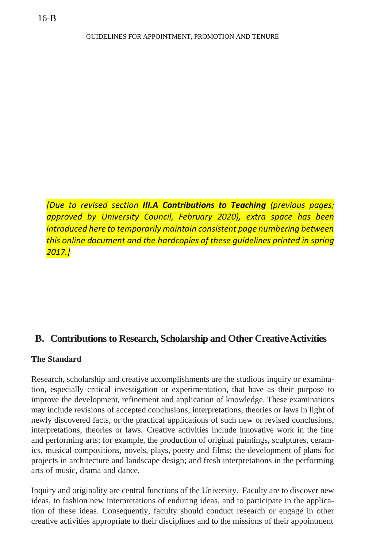*[Due to revised section III.A Contributions to Teaching (previous pages; approved by University Council, February 2020), extra space has been introduced here to temporarily maintain consistent page numbering between this online document and the hardcopies of these guidelines printed in spring 2017.]*

### **B. Contributions to Research, Scholarship and Other CreativeActivities**

#### **The Standard**

Research, scholarship and creative accomplishments are the studious inquiry or examination, especially critical investigation or experimentation, that have as their purpose to improve the development, refinement and application of knowledge. These examinations may include revisions of accepted conclusions, interpretations, theories or laws in light of newly discovered facts, or the practical applications of such new or revised conclusions, interpretations, theories or laws. Creative activities include innovative work in the fine and performing arts; for example, the production of original paintings, sculptures, ceramics, musical compositions, novels, plays, poetry and films; the development of plans for projects in architecture and landscape design; and fresh interpretations in the performing arts of music, drama and dance.

Inquiry and originality are central functions of the University. Faculty are to discover new ideas, to fashion new interpretations of enduring ideas, and to participate in the application of these ideas. Consequently, faculty should conduct research or engage in other creative activities appropriate to their disciplines and to the missions of their appointment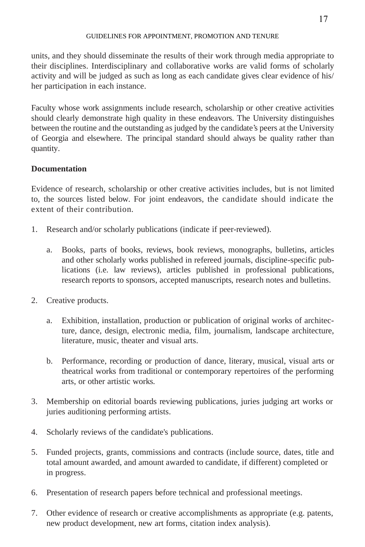units, and they should disseminate the results of their work through media appropriate to their disciplines. Interdisciplinary and collaborative works are valid forms of scholarly activity and will be judged as such as long as each candidate gives clear evidence of his/ her participation in each instance.

Faculty whose work assignments include research, scholarship or other creative activities should clearly demonstrate high quality in these endeavors. The University distinguishes between the routine and the outstanding as judged by the candidate's peers atthe University of Georgia and elsewhere. The principal standard should always be quality rather than quantity.

### **Documentation**

Evidence of research, scholarship or other creative activities includes, but is not limited to, the sources listed below. For joint endeavors, the candidate should indicate the extent of their contribution.

- 1. Research and/or scholarly publications (indicate if peer-reviewed).
	- a. Books, parts of books, reviews, book reviews, monographs, bulletins, articles and other scholarly works published in refereed journals, discipline-specific publications (i.e. law reviews), articles published in professional publications, research reports to sponsors, accepted manuscripts, research notes and bulletins.
- 2. Creative products.
	- a. Exhibition, installation, production or publication of original works of architecture, dance, design, electronic media, film, journalism, landscape architecture, literature, music, theater and visual arts.
	- b. Performance, recording or production of dance, literary, musical, visual arts or theatrical works from traditional or contemporary repertoires of the performing arts, or other artistic works.
- 3. Membership on editorial boards reviewing publications, juries judging art works or juries auditioning performing artists.
- 4. Scholarly reviews of the candidate's publications.
- 5. Funded projects, grants, commissions and contracts (include source, dates, title and total amount awarded, and amount awarded to candidate, if different) completed or in progress.
- 6. Presentation of research papers before technical and professional meetings.
- 7. Other evidence of research or creative accomplishments as appropriate (e.g. patents, new product development, new art forms, citation index analysis).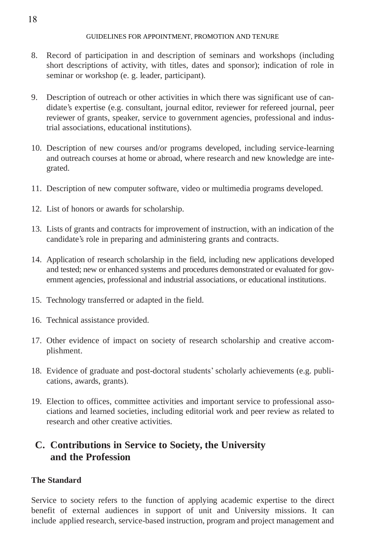- 8. Record of participation in and description of seminars and workshops (including short descriptions of activity, with titles, dates and sponsor); indication of role in seminar or workshop (e. g. leader, participant).
- 9. Description of outreach or other activities in which there was significant use of candidate's expertise (e.g. consultant, journal editor, reviewer for refereed journal, peer reviewer of grants, speaker, service to government agencies, professional and industrial associations, educational institutions).
- 10. Description of new courses and/or programs developed, including service-learning and outreach courses at home or abroad, where research and new knowledge are integrated.
- 11. Description of new computer software, video or multimedia programs developed.
- 12. List of honors or awards for scholarship.
- 13. Lists of grants and contracts for improvement of instruction, with an indication of the candidate's role in preparing and administering grants and contracts.
- 14. Application of research scholarship in the field, including new applications developed and tested; new or enhanced systems and procedures demonstrated or evaluated for government agencies, professional and industrial associations, or educational institutions.
- 15. Technology transferred or adapted in the field.
- 16. Technical assistance provided.
- 17. Other evidence of impact on society of research scholarship and creative accomplishment.
- 18. Evidence of graduate and post-doctoral students' scholarly achievements (e.g. publications, awards, grants).
- 19. Election to offices, committee activities and important service to professional associations and learned societies, including editorial work and peer review as related to research and other creative activities.

# **C. Contributions in Service to Society, the University and the Profession**

### **The Standard**

Service to society refers to the function of applying academic expertise to the direct benefit of external audiences in support of unit and University missions. It can include applied research, service-based instruction, program and project management and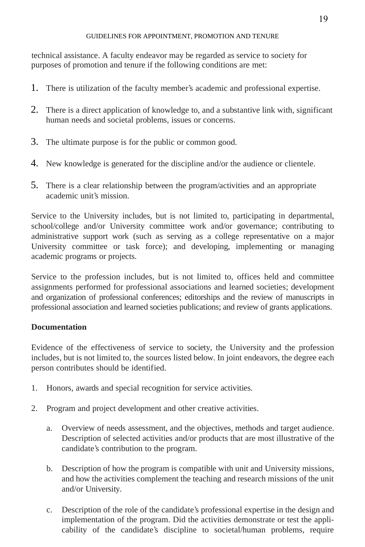technical assistance. A faculty endeavor may be regarded as service to society for purposes of promotion and tenure if the following conditions are met:

- 1. There is utilization of the faculty member's academic and professional expertise.
- 2. There is a direct application of knowledge to, and a substantive link with, significant human needs and societal problems, issues or concerns.
- 3. The ultimate purpose is for the public or common good.
- 4. New knowledge is generated for the discipline and/or the audience or clientele.
- 5. There is a clear relationship between the program/activities and an appropriate academic unit's mission.

Service to the University includes, but is not limited to, participating in departmental, school/college and/or University committee work and/or governance; contributing to administrative support work (such as serving as a college representative on a major University committee or task force); and developing, implementing or managing academic programs or projects.

Service to the profession includes, but is not limited to, offices held and committee assignments performed for professional associations and learned societies; development and organization of professional conferences; editorships and the review of manuscripts in professional association and learned societies publications; and review of grants applications.

### **Documentation**

Evidence of the effectiveness of service to society, the University and the profession includes, but is not limited to, the sources listed below. In joint endeavors, the degree each person contributes should be identified.

- 1. Honors, awards and special recognition for service activities.
- 2. Program and project development and other creative activities.
	- a. Overview of needs assessment, and the objectives, methods and target audience. Description of selected activities and/or products that are most illustrative of the candidate's contribution to the program.
	- b. Description of how the program is compatible with unit and University missions, and how the activities complement the teaching and research missions of the unit and/or University.
	- c. Description of the role of the candidate's professional expertise in the design and implementation of the program. Did the activities demonstrate or test the applicability of the candidate's discipline to societal/human problems, require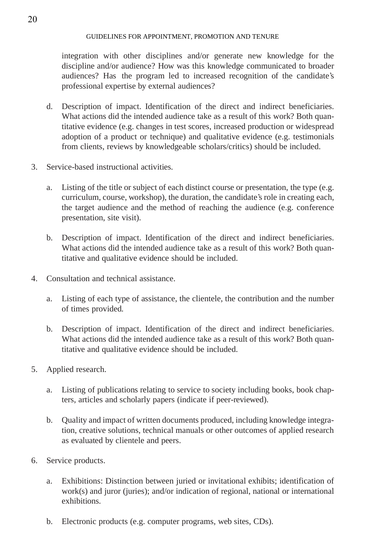integration with other disciplines and/or generate new knowledge for the discipline and/or audience? How was this knowledge communicated to broader audiences? Has the program led to increased recognition of the candidate's professional expertise by external audiences?

- d. Description of impact. Identification of the direct and indirect beneficiaries. What actions did the intended audience take as a result of this work? Both quantitative evidence (e.g. changes in test scores, increased production or widespread adoption of a product or technique) and qualitative evidence (e.g. testimonials from clients, reviews by knowledgeable scholars/critics) should be included.
- 3. Service-based instructional activities.
	- a. Listing of the title or subject of each distinct course or presentation, the type (e.g. curriculum, course, workshop), the duration, the candidate's role in creating each, the target audience and the method of reaching the audience (e.g. conference presentation, site visit).
	- b. Description of impact. Identification of the direct and indirect beneficiaries. What actions did the intended audience take as a result of this work? Both quantitative and qualitative evidence should be included.
- 4. Consultation and technical assistance.
	- a. Listing of each type of assistance, the clientele, the contribution and the number of times provided.
	- b. Description of impact. Identification of the direct and indirect beneficiaries. What actions did the intended audience take as a result of this work? Both quantitative and qualitative evidence should be included.
- 5. Applied research.
	- a. Listing of publications relating to service to society including books, book chapters, articles and scholarly papers (indicate if peer-reviewed).
	- b. Quality and impact of written documents produced, including knowledge integration, creative solutions, technical manuals or other outcomes of applied research as evaluated by clientele and peers.
- 6. Service products.
	- a. Exhibitions: Distinction between juried or invitational exhibits; identification of work(s) and juror (juries); and/or indication of regional, national or international exhibitions.
	- b. Electronic products (e.g. computer programs, web sites, CDs).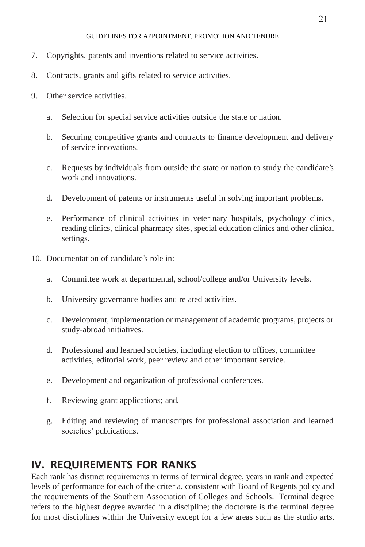- 7. Copyrights, patents and inventions related to service activities.
- 8. Contracts, grants and gifts related to service activities.
- 9. Other service activities.
	- a. Selection for special service activities outside the state or nation.
	- b. Securing competitive grants and contracts to finance development and delivery of service innovations.
	- c. Requests by individuals from outside the state or nation to study the candidate's work and innovations.
	- d. Development of patents or instruments useful in solving important problems.
	- e. Performance of clinical activities in veterinary hospitals, psychology clinics, reading clinics, clinical pharmacy sites, special education clinics and other clinical settings.
- 10. Documentation of candidate's role in:
	- a. Committee work at departmental, school/college and/or University levels.
	- b. University governance bodies and related activities.
	- c. Development, implementation or management of academic programs, projects or study-abroad initiatives.
	- d. Professional and learned societies, including election to offices, committee activities, editorial work, peer review and other important service.
	- e. Development and organization of professional conferences.
	- f. Reviewing grant applications; and,
	- g. Editing and reviewing of manuscripts for professional association and learned societies' publications.

# **IV. REQUIREMENTS FOR RANKS**

Each rank has distinct requirements in terms of terminal degree, years in rank and expected levels of performance for each of the criteria, consistent with Board of Regents policy and the requirements of the Southern Association of Colleges and Schools. Terminal degree refers to the highest degree awarded in a discipline; the doctorate is the terminal degree for most disciplines within the University except for a few areas such as the studio arts.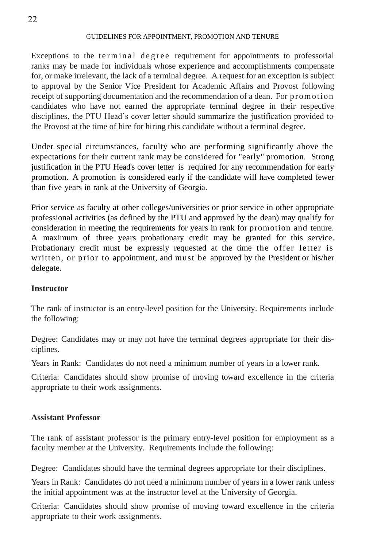Exceptions to the terminal degree requirement for appointments to professorial ranks may be made for individuals whose experience and accomplishments compensate for, or make irrelevant, the lack of a terminal degree. A request for an exception is subject to approval by the Senior Vice President for Academic Affairs and Provost following receipt of supporting documentation and the recommendation of a dean. For promotion candidates who have not earned the appropriate terminal degree in their respective disciplines, the PTU Head's cover letter should summarize the justification provided to the Provost at the time of hire for hiring this candidate without a terminal degree.

Under special circumstances, faculty who are performing significantly above the expectations for their current rank may be considered for "early" promotion. Strong justification in the PTU Head's cover letter is required for any recommendation for early promotion. A promotion is considered early if the candidate will have completed fewer than five years in rank at the University of Georgia.

Prior service as faculty at other colleges/universities or prior service in other appropriate professional activities (as defined by the PTU and approved by the dean) may qualify for consideration in meeting the requirements for years in rank for promotion and tenure. A maximum of three years probationary credit may be granted for this service. Probationary credit must be expressly requested at the time the offer letter is written, or prior to appointment, and must be approved by the President or his/her delegate.

#### **Instructor**

The rank of instructor is an entry-level position for the University. Requirements include the following:

Degree: Candidates may or may not have the terminal degrees appropriate for their disciplines.

Years in Rank: Candidates do not need a minimum number of years in a lower rank.

Criteria: Candidates should show promise of moving toward excellence in the criteria appropriate to their work assignments.

#### **Assistant Professor**

The rank of assistant professor is the primary entry-level position for employment as a faculty member at the University. Requirements include the following:

Degree: Candidates should have the terminal degrees appropriate for their disciplines.

Years in Rank: Candidates do not need a minimum number of years in a lower rank unless the initial appointment was at the instructor level at the University of Georgia.

Criteria: Candidates should show promise of moving toward excellence in the criteria appropriate to their work assignments.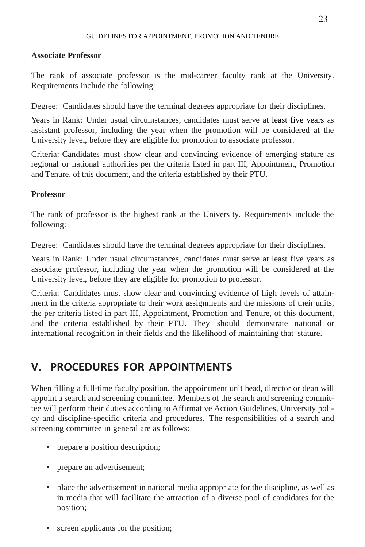#### **Associate Professor**

The rank of associate professor is the mid-career faculty rank at the University. Requirements include the following:

Degree: Candidates should have the terminal degrees appropriate for their disciplines.

Years in Rank: Under usual circumstances, candidates must serve at least five years as assistant professor, including the year when the promotion will be considered at the University level, before they are eligible for promotion to associate professor.

Criteria: Candidates must show clear and convincing evidence of emerging stature as regional or national authorities per the criteria listed in part III, Appointment, Promotion and Tenure, of this document, and the criteria established by their PTU.

### **Professor**

The rank of professor is the highest rank at the University. Requirements include the following:

Degree: Candidates should have the terminal degrees appropriate for their disciplines.

Years in Rank: Under usual circumstances, candidates must serve at least five years as associate professor, including the year when the promotion will be considered at the University level, before they are eligible for promotion to professor.

Criteria: Candidates must show clear and convincing evidence of high levels of attainment in the criteria appropriate to their work assignments and the missions of their units, the per criteria listed in part III, Appointment, Promotion and Tenure, of this document, and the criteria established by their PTU. They should demonstrate national or international recognition in their fields and the likelihood of maintaining that stature.

# **V. PROCEDURES FOR APPOINTMENTS**

When filling a full-time faculty position, the appointment unit head, director or dean will appoint a search and screening committee. Members of the search and screening committee will perform their duties according to Affirmative Action Guidelines, University policy and discipline-specific criteria and procedures. The responsibilities of a search and screening committee in general are as follows:

- prepare a position description;
- prepare an advertisement;
- place the advertisement in national media appropriate for the discipline, as well as in media that will facilitate the attraction of a diverse pool of candidates for the position;
- screen applicants for the position;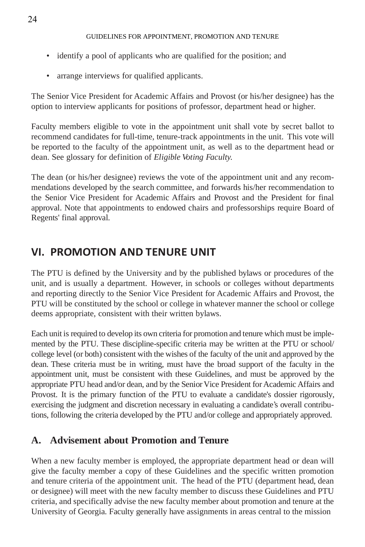- identify a pool of applicants who are qualified for the position; and
- arrange interviews for qualified applicants.

The Senior Vice President for Academic Affairs and Provost (or his/her designee) has the option to interview applicants for positions of professor, department head or higher.

Faculty members eligible to vote in the appointment unit shall vote by secret ballot to recommend candidates for full-time, tenure-track appointments in the unit. This vote will be reported to the faculty of the appointment unit, as well as to the department head or dean. See glossary for definition of *Eligible Voting Faculty.*

The dean (or his/her designee) reviews the vote of the appointment unit and any recommendations developed by the search committee, and forwards his/her recommendation to the Senior Vice President for Academic Affairs and Provost and the President for final approval. Note that appointments to endowed chairs and professorships require Board of Regents' final approval.

# **VI. PROMOTION AND TENURE UNIT**

The PTU is defined by the University and by the published bylaws or procedures of the unit, and is usually a department. However, in schools or colleges without departments and reporting directly to the Senior Vice President for Academic Affairs and Provost, the PTU will be constituted by the school or college in whatever manner the school or college deems appropriate, consistent with their written bylaws.

Each unitis required to develop its own criteria for promotion and tenure which must be implemented by the PTU. These discipline-specific criteria may be written at the PTU or school/ college level (or both) consistent with the wishes of the faculty of the unit and approved by the dean. These criteria must be in writing, must have the broad support of the faculty in the appointment unit, must be consistent with these Guidelines, and must be approved by the appropriate PTU head and/or dean, and by the Senior Vice President for Academic Affairs and Provost. It is the primary function of the PTU to evaluate a candidate's dossier rigorously, exercising the judgment and discretion necessary in evaluating a candidate's overall contributions, following the criteria developed by the PTU and/or college and appropriately approved.

# **A. Advisement about Promotion and Tenure**

When a new faculty member is employed, the appropriate department head or dean will give the faculty member a copy of these Guidelines and the specific written promotion and tenure criteria of the appointment unit. The head of the PTU (department head, dean or designee) will meet with the new faculty member to discuss these Guidelines and PTU criteria, and specifically advise the new faculty member about promotion and tenure at the University of Georgia. Faculty generally have assignments in areas central to the mission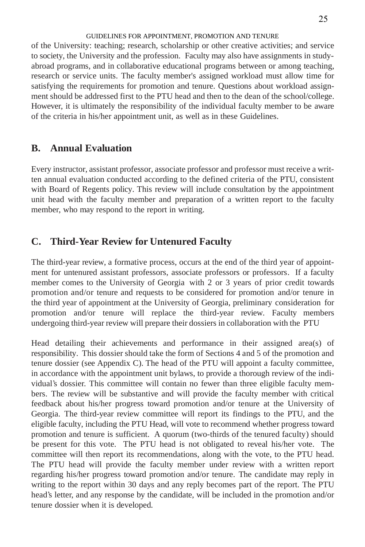of the University: teaching; research, scholarship or other creative activities; and service to society, the University and the profession. Faculty may also have assignments in studyabroad programs, and in collaborative educational programs between or among teaching, research or service units. The faculty member's assigned workload must allow time for satisfying the requirements for promotion and tenure. Questions about workload assignment should be addressed first to the PTU head and then to the dean of the school/college. However, it is ultimately the responsibility of the individual faculty member to be aware of the criteria in his/her appointment unit, as well as in these Guidelines.

### **B. Annual Evaluation**

Every instructor, assistant professor, associate professor and professor must receive a written annual evaluation conducted according to the defined criteria of the PTU, consistent with Board of Regents policy. This review will include consultation by the appointment unit head with the faculty member and preparation of a written report to the faculty member, who may respond to the report in writing.

### **C. Third-Year Review for Untenured Faculty**

The third-year review, a formative process, occurs at the end of the third year of appointment for untenured assistant professors, associate professors or professors. If a faculty member comes to the University of Georgia with 2 or 3 years of prior credit towards promotion and/or tenure and requests to be considered for promotion and/or tenure in the third year of appointment at the University of Georgia, preliminary consideration for promotion and/or tenure will replace the third-year review. Faculty members undergoing third-year review will prepare their dossiers in collaboration with the PTU

Head detailing their achievements and performance in their assigned area(s) of responsibility. This dossier should take the form of Sections 4 and 5 of the promotion and tenure dossier (see Appendix C). The head of the PTU will appoint a faculty committee, in accordance with the appointment unit bylaws, to provide a thorough review of the individual's dossier. This committee will contain no fewer than three eligible faculty members. The review will be substantive and will provide the faculty member with critical feedback about his/her progress toward promotion and/or tenure at the University of Georgia. The third-year review committee will report its findings to the PTU, and the eligible faculty, including the PTU Head, will vote to recommend whether progress toward promotion and tenure is sufficient. A quorum (two-thirds of the tenured faculty) should be present for this vote. The PTU head is not obligated to reveal his/her vote. The committee will then report its recommendations, along with the vote, to the PTU head. The PTU head will provide the faculty member under review with a written report regarding his/her progress toward promotion and/or tenure. The candidate may reply in writing to the report within 30 days and any reply becomes part of the report. The PTU head's letter, and any response by the candidate, will be included in the promotion and/or tenure dossier when it is developed.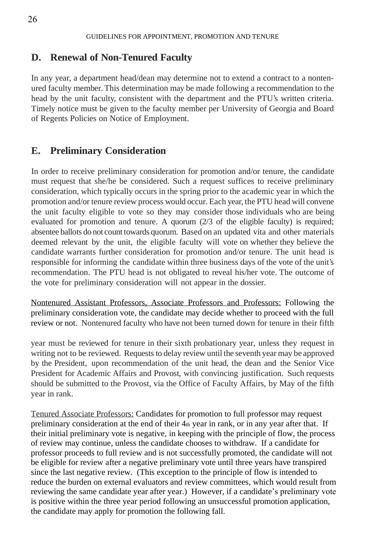### **D. Renewal of Non-Tenured Faculty**

In any year, a department head/dean may determine not to extend a contract to a nontenured faculty member. This determination may be made following a recommendation to the head by the unit faculty, consistent with the department and the PTU's written criteria. Timely notice must be given to the faculty member per University of Georgia and Board of Regents Policies on Notice of Employment.

### **E. Preliminary Consideration**

In order to receive preliminary consideration for promotion and/or tenure, the candidate must request that she/he be considered. Such a request suffices to receive preliminary consideration, which typically occurs in the spring prior to the academic year in which the promotion and/or tenure review process would occur. Each year,thePTU head will convene the unit faculty eligible to vote so they may consider those individuals who are being evaluated for promotion and tenure. A quorum (2/3 of the eligible faculty) is required; absentee ballots do not count towards quorum. Based on an updated vita and other materials deemed relevant by the unit, the eligible faculty will vote on whether they believe the candidate warrants further consideration for promotion and/or tenure. The unit head is responsible for informing the candidate within three business days of the vote of the unit's recommendation. The PTU head is not obligated to reveal his/her vote. The outcome of the vote for preliminary consideration will not appear in the dossier.

Nontenured Assistant Professors, Associate Professors and Professors: Following the preliminary consideration vote, the candidate may decide whether to proceed with the full review or not. Nontenured faculty who have not been turned down for tenure in their fifth

year must be reviewed for tenure in their sixth probationary year, unless they request in writing not to be reviewed. Requests to delay review until the seventh year may be approved by the President, upon recommendation of the unit head, the dean and the Senior Vice President for Academic Affairs and Provost, with convincing justification. Such requests should be submitted to the Provost, via the Office of Faculty Affairs, by May of the fifth year in rank.

Tenured Associate Professors: Candidates for promotion to full professor may request preliminary consideration at the end of their  $4<sub>th</sub>$  year in rank, or in any year after that. If their initial preliminary vote is negative, in keeping with the principle of flow, the process of review may continue, unless the candidate chooses to withdraw. If a candidate for professor proceeds to full review and is not successfully promoted, the candidate will not be eligible for review after a negative preliminary vote until three years have transpired since the last negative review. (This exception to the principle of flow is intended to reduce the burden on external evaluators and review committees, which would result from reviewing the same candidate year after year.) However, if a candidate's preliminary vote is positive within the three year period following an unsuccessful promotion application, the candidate may apply for promotion the following fall.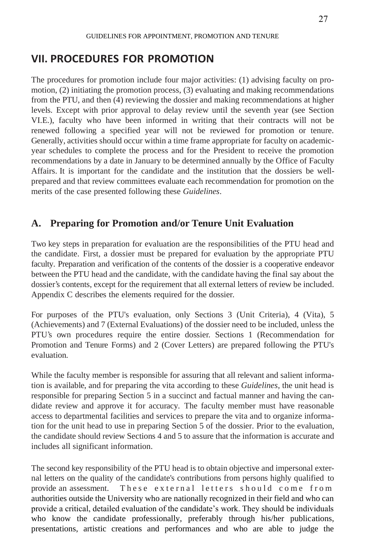# **VII. PROCEDURES FOR PROMOTION**

The procedures for promotion include four major activities: (1) advising faculty on promotion, (2) initiating the promotion process, (3) evaluating and making recommendations from the PTU, and then (4) reviewing the dossier and making recommendations at higher levels. Except with prior approval to delay review until the seventh year (see Section VI.E.), faculty who have been informed in writing that their contracts will not be renewed following a specified year will not be reviewed for promotion or tenure. Generally, activities should occur within a time frame appropriate for faculty on academicyear schedules to complete the process and for the President to receive the promotion recommendations by a date in January to be determined annually by the Office of Faculty Affairs. It is important for the candidate and the institution that the dossiers be wellprepared and that review committees evaluate each recommendation for promotion on the merits of the case presented following these *Guidelines*.

# **A. Preparing for Promotion and/or Tenure Unit Evaluation**

Two key steps in preparation for evaluation are the responsibilities of the PTU head and the candidate. First, a dossier must be prepared for evaluation by the appropriate PTU faculty. Preparation and verification of the contents of the dossier is a cooperative endeavor between the PTU head and the candidate, with the candidate having the final say about the dossier's contents, except for the requirement that all external letters of review be included. Appendix C describes the elements required for the dossier.

For purposes of the PTU's evaluation, only Sections 3 (Unit Criteria), 4 (Vita), 5 (Achievements) and 7 (External Evaluations) of the dossier need to be included, unless the PTU's own procedures require the entire dossier. Sections 1 (Recommendation for Promotion and Tenure Forms) and 2 (Cover Letters) are prepared following the PTU's evaluation.

While the faculty member is responsible for assuring that all relevant and salient information is available, and for preparing the vita according to these *Guidelines*, the unit head is responsible for preparing Section 5 in a succinct and factual manner and having the candidate review and approve it for accuracy. The faculty member must have reasonable access to departmental facilities and services to prepare the vita and to organize information for the unit head to use in preparing Section 5 of the dossier. Prior to the evaluation, the candidate should review Sections 4 and 5 to assure that the information is accurate and includes all significant information.

The second key responsibility of the PTU head is to obtain objective and impersonal external letters on the quality of the candidate's contributions from persons highly qualified to provide an assessment. These external letters should come from authorities outside the University who are nationally recognized in their field and who can provide a critical, detailed evaluation of the candidate's work. They should be individuals who know the candidate professionally, preferably through his/her publications, presentations, artistic creations and performances and who are able to judge the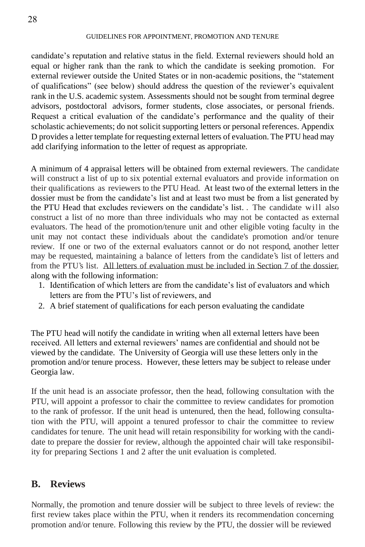candidate's reputation and relative status in the field. External reviewers should hold an equal or higher rank than the rank to which the candidate is seeking promotion. For external reviewer outside the United States or in non-academic positions, the "statement of qualifications" (see below) should address the question of the reviewer's equivalent rank in the U.S. academic system. Assessments should not be sought from terminal degree advisors, postdoctoral advisors, former students, close associates, or personal friends. Request a critical evaluation of the candidate's performance and the quality of their scholastic achievements; do not solicit supporting letters or personal references. Appendix D provides a letter template for requesting external letters of evaluation. The PTU head may add clarifying information to the letter of request as appropriate.

A minimum of 4 appraisal letters will be obtained from external reviewers. The candidate will construct a list of up to six potential external evaluators and provide information on their qualifications as reviewers to the PTU Head. At least two of the external letters in the dossier must be from the candidate's list and at least two must be from a list generated by the PTU Head that excludes reviewers on the candidate's list. . The candidate will also construct a list of no more than three individuals who may not be contacted as external evaluators. The head of the promotion/tenure unit and other eligible voting faculty in the unit may not contact these individuals about the candidate's promotion and/or tenure review. If one or two of the external evaluators cannot or do not respond, another letter may be requested, maintaining a balance of letters from the candidate's list of letters and from the PTU's list. All letters of evaluation must be included in Section 7 of the dossier, along with the following information:

- 1. Identification of which letters are from the candidate's list of evaluators and which letters are from the PTU's list of reviewers, and
- 2. A brief statement of qualifications for each person evaluating the candidate

The PTU head will notify the candidate in writing when all external letters have been received. All letters and external reviewers' names are confidential and should not be viewed by the candidate. The University of Georgia will use these letters only in the promotion and/or tenure process. However, these letters may be subject to release under Georgia law.

If the unit head is an associate professor, then the head, following consultation with the PTU, will appoint a professor to chair the committee to review candidates for promotion to the rank of professor. If the unit head is untenured, then the head, following consultation with the PTU, will appoint a tenured professor to chair the committee to review candidates for tenure. The unit head will retain responsibility for working with the candidate to prepare the dossier for review, although the appointed chair will take responsibility for preparing Sections 1 and 2 after the unit evaluation is completed.

### **B. Reviews**

Normally, the promotion and tenure dossier will be subject to three levels of review: the first review takes place within the PTU, when it renders its recommendation concerning promotion and/or tenure. Following this review by the PTU, the dossier will be reviewed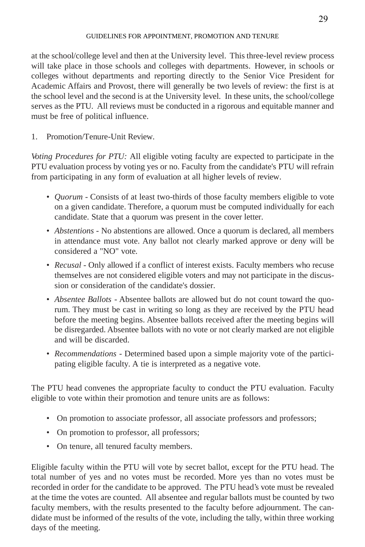at the school/college level and then at the University level. This three-level review process will take place in those schools and colleges with departments. However, in schools or colleges without departments and reporting directly to the Senior Vice President for Academic Affairs and Provost, there will generally be two levels of review: the first is at the school level and the second is at the University level. In these units, the school/college serves as the PTU. All reviews must be conducted in a rigorous and equitable manner and must be free of political influence.

1. Promotion/Tenure-Unit Review.

*Voting Procedures for PTU:* All eligible voting faculty are expected to participate in the PTU evaluation process by voting yes or no. Faculty from the candidate's PTU will refrain from participating in any form of evaluation at all higher levels of review.

- *Quorum -* Consists of at least two-thirds of those faculty members eligible to vote on a given candidate. Therefore, a quorum must be computed individually for each candidate. State that a quorum was present in the cover letter.
- *Abstentions -* No abstentions are allowed. Once a quorum is declared, all members in attendance must vote. Any ballot not clearly marked approve or deny will be considered a "NO" vote.
- *Recusal -* Only allowed if a conflict of interest exists. Faculty members who recuse themselves are not considered eligible voters and may not participate in the discussion or consideration of the candidate's dossier.
- *Absentee Ballots -* Absentee ballots are allowed but do not count toward the quorum. They must be cast in writing so long as they are received by the PTU head before the meeting begins. Absentee ballots received after the meeting begins will be disregarded. Absentee ballots with no vote or not clearly marked are not eligible and will be discarded.
- *Recommendations -* Determined based upon a simple majority vote of the participating eligible faculty. A tie is interpreted as a negative vote.

The PTU head convenes the appropriate faculty to conduct the PTU evaluation. Faculty eligible to vote within their promotion and tenure units are as follows:

- On promotion to associate professor, all associate professors and professors;
- On promotion to professor, all professors;
- On tenure, all tenured faculty members.

Eligible faculty within the PTU will vote by secret ballot, except for the PTU head. The total number of yes and no votes must be recorded. More yes than no votes must be recorded in order for the candidate to be approved. The PTU head's vote must be revealed at the time the votes are counted. All absentee and regular ballots must be counted by two faculty members, with the results presented to the faculty before adjournment. The candidate must be informed of the results of the vote, including the tally, within three working days of the meeting.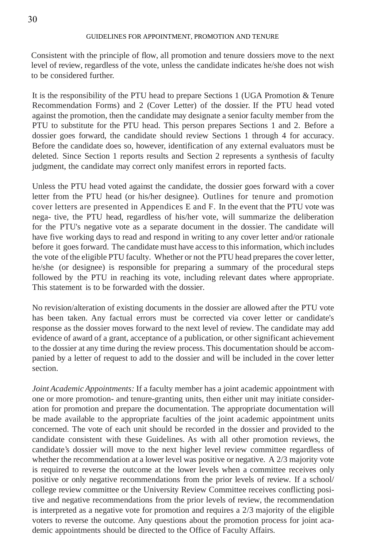Consistent with the principle of flow, all promotion and tenure dossiers move to the next level of review, regardless of the vote, unless the candidate indicates he/she does not wish to be considered further.

It is the responsibility of the PTU head to prepare Sections 1 (UGA Promotion & Tenure Recommendation Forms) and 2 (Cover Letter) of the dossier. If the PTU head voted against the promotion, then the candidate may designate a senior faculty member from the PTU to substitute for the PTU head. This person prepares Sections 1 and 2. Before a dossier goes forward, the candidate should review Sections 1 through 4 for accuracy. Before the candidate does so, however, identification of any external evaluators must be deleted. Since Section 1 reports results and Section 2 represents a synthesis of faculty judgment, the candidate may correct only manifest errors in reported facts.

Unless the PTU head voted against the candidate, the dossier goes forward with a cover letter from the PTU head (or his/her designee). Outlines for tenure and promotion cover letters are presented in Appendices E and F. In the event that the PTU vote was nega- tive, the PTU head, regardless of his/her vote, will summarize the deliberation for the PTU's negative vote as a separate document in the dossier. The candidate will have five working days to read and respond in writing to any cover letter and/or rationale before it goes forward. The candidate must have accessto thisinformation, which includes the vote of the eligible PTU faculty. Whether or not the PTU head prepares the cover letter, he/she (or designee) is responsible for preparing a summary of the procedural steps followed by the PTU in reaching its vote, including relevant dates where appropriate. This statement is to be forwarded with the dossier.

No revision/alteration of existing documents in the dossier are allowed after the PTU vote has been taken. Any factual errors must be corrected via cover letter or candidate's response as the dossier moves forward to the next level of review. The candidate may add evidence of award of a grant, acceptance of a publication, or other significant achievement to the dossier at any time during the review process. This documentation should be accompanied by a letter of request to add to the dossier and will be included in the cover letter section.

*Joint Academic Appointments:* If a faculty member has a joint academic appointment with one or more promotion- and tenure-granting units, then either unit may initiate consideration for promotion and prepare the documentation. The appropriate documentation will be made available to the appropriate faculties of the joint academic appointment units concerned. The vote of each unit should be recorded in the dossier and provided to the candidate consistent with these Guidelines. As with all other promotion reviews, the candidate's dossier will move to the next higher level review committee regardless of whether the recommendation at a lower level was positive or negative. A 2/3 majority vote is required to reverse the outcome at the lower levels when a committee receives only positive or only negative recommendations from the prior levels of review. If a school/ college review committee or the University Review Committee receives conflicting positive and negative recommendations from the prior levels of review, the recommendation is interpreted as a negative vote for promotion and requires a 2/3 majority of the eligible voters to reverse the outcome. Any questions about the promotion process for joint academic appointments should be directed to the Office of Faculty Affairs.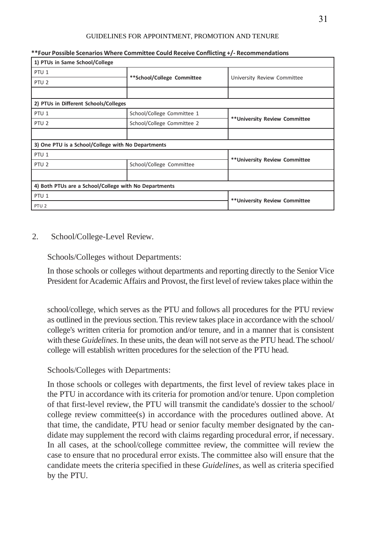| 1) PTUs in Same School/College                        |                                |                                |  |
|-------------------------------------------------------|--------------------------------|--------------------------------|--|
| PTU <sub>1</sub>                                      |                                | University Review Committee    |  |
| PTU <sub>2</sub>                                      | **School/College Committee     |                                |  |
|                                                       |                                |                                |  |
| 2) PTUs in Different Schools/Colleges                 |                                |                                |  |
| PTU <sub>1</sub>                                      | School/College Committee 1     | ** University Review Committee |  |
| PTU <sub>2</sub>                                      | School/College Committee 2     |                                |  |
|                                                       |                                |                                |  |
| 3) One PTU is a School/College with No Departments    |                                |                                |  |
| PTU <sub>1</sub>                                      |                                |                                |  |
| PTU <sub>2</sub>                                      | School/College Committee       | ** University Review Committee |  |
|                                                       |                                |                                |  |
| 4) Both PTUs are a School/College with No Departments |                                |                                |  |
| PTU <sub>1</sub>                                      | ** University Review Committee |                                |  |
| PTU <sub>2</sub>                                      |                                |                                |  |

#### **\*\*Four Possible Scenarios Where Committee Could Receive Conflicting +/- Recommendations**

#### 2. School/College-Level Review.

Schools/Colleges without Departments:

In those schools or colleges without departments and reporting directly to the Senior Vice President for Academic Affairs and Provost, the first level of review takes place within the

school/college, which serves as the PTU and follows all procedures for the PTU review as outlined in the previous section. This review takes place in accordance with the school/ college's written criteria for promotion and/or tenure, and in a manner that is consistent with these *Guidelines*. In these units, the dean will not serve as the PTU head. The school/ college will establish written procedures for the selection of the PTU head.

#### Schools/Colleges with Departments:

In those schools or colleges with departments, the first level of review takes place in the PTU in accordance with its criteria for promotion and/or tenure. Upon completion of that first-level review, the PTU will transmit the candidate's dossier to the school/ college review committee(s) in accordance with the procedures outlined above. At that time, the candidate, PTU head or senior faculty member designated by the candidate may supplement the record with claims regarding procedural error, if necessary. In all cases, at the school/college committee review, the committee will review the case to ensure that no procedural error exists. The committee also will ensure that the candidate meets the criteria specified in these *Guidelines*, as well as criteria specified by the PTU.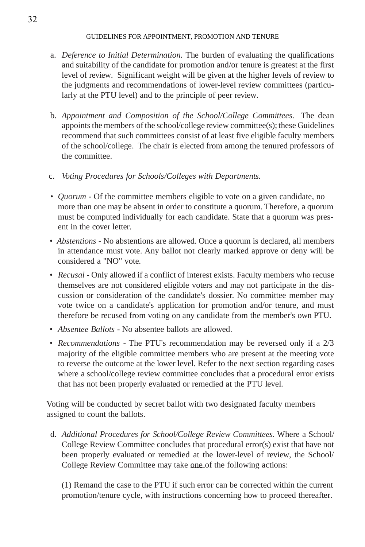- a. *Deference to Initial Determination.* The burden of evaluating the qualifications and suitability of the candidate for promotion and/or tenure is greatest at the first level of review. Significant weight will be given at the higher levels of review to the judgments and recommendations of lower-level review committees (particularly at the PTU level) and to the principle of peer review.
- b. *Appointment and Composition of the School/College Committees.* The dean appoints the members of the school/college review committee(s); these Guidelines recommend that such committees consist of at least five eligible faculty members of the school/college. The chair is elected from among the tenured professors of the committee.
- c. *Voting Procedures for Schools/Colleges with Departments.*
- *Quorum* Of the committee members eligible to vote on a given candidate, no more than one may be absent in order to constitute a quorum. Therefore, a quorum must be computed individually for each candidate. State that a quorum was present in the cover letter.
- *Abstentions -* No abstentions are allowed. Once a quorum is declared, all members in attendance must vote. Any ballot not clearly marked approve or deny will be considered a "NO" vote.
- *Recusal -* Only allowed if a conflict of interest exists. Faculty members who recuse themselves are not considered eligible voters and may not participate in the discussion or consideration of the candidate's dossier. No committee member may vote twice on a candidate's application for promotion and/or tenure, and must therefore be recused from voting on any candidate from the member's own PTU.
- *Absentee Ballots -* No absentee ballots are allowed.
- *Recommendations -* The PTU's recommendation may be reversed only if a 2/3 majority of the eligible committee members who are present at the meeting vote to reverse the outcome at the lower level. Refer to the next section regarding cases where a school/college review committee concludes that a procedural error exists that has not been properly evaluated or remedied at the PTU level.

Voting will be conducted by secret ballot with two designated faculty members assigned to count the ballots.

d. *Additional Procedures for School/College Review Committees.* Where a School/ College Review Committee concludes that procedural error(s) exist that have not been properly evaluated or remedied at the lower-level of review, the School/ College Review Committee may take one of the following actions:

(1) Remand the case to the PTU if such error can be corrected within the current promotion/tenure cycle, with instructions concerning how to proceed thereafter.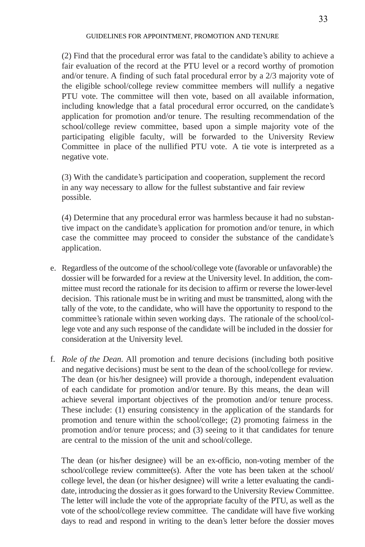(2) Find that the procedural error was fatal to the candidate's ability to achieve a fair evaluation of the record at the PTU level or a record worthy of promotion and/or tenure. A finding of such fatal procedural error by a 2/3 majority vote of the eligible school/college review committee members will nullify a negative PTU vote. The committee will then vote, based on all available information, including knowledge that a fatal procedural error occurred, on the candidate's application for promotion and/or tenure. The resulting recommendation of the school/college review committee, based upon a simple majority vote of the participating eligible faculty, will be forwarded to the University Review Committee in place of the nullified PTU vote. A tie vote is interpreted as a negative vote.

(3) With the candidate's participation and cooperation, supplement the record in any way necessary to allow for the fullest substantive and fair review possible.

(4) Determine that any procedural error was harmless because it had no substantive impact on the candidate's application for promotion and/or tenure, in which case the committee may proceed to consider the substance of the candidate's application.

- e. Regardless of the outcome of the school/college vote (favorable or unfavorable) the dossier will be forwarded for a review at the University level. In addition, the committee must record the rationale for its decision to affirm or reverse the lower-level decision. This rationale must be in writing and must be transmitted, along with the tally of the vote, to the candidate, who will have the opportunity to respond to the committee's rationale within seven working days. The rationale of the school/college vote and any such response of the candidate will be included in the dossier for consideration at the University level.
- f. *Role of the Dean.* All promotion and tenure decisions (including both positive and negative decisions) must be sent to the dean of the school/college for review. The dean (or his/her designee) will provide a thorough, independent evaluation of each candidate for promotion and/or tenure. By this means, the dean will achieve several important objectives of the promotion and/or tenure process. These include: (1) ensuring consistency in the application of the standards for promotion and tenure within the school/college; (2) promoting fairness in the promotion and/or tenure process; and (3) seeing to it that candidates for tenure are central to the mission of the unit and school/college.

The dean (or his/her designee) will be an ex-officio, non-voting member of the school/college review committee(s). After the vote has been taken at the school/ college level, the dean (or his/her designee) will write a letter evaluating the candidate, introducing the dossier as it goes forward to the University Review Committee. The letter will include the vote of the appropriate faculty of the PTU, as well as the vote of the school/college review committee. The candidate will have five working days to read and respond in writing to the dean's letter before the dossier moves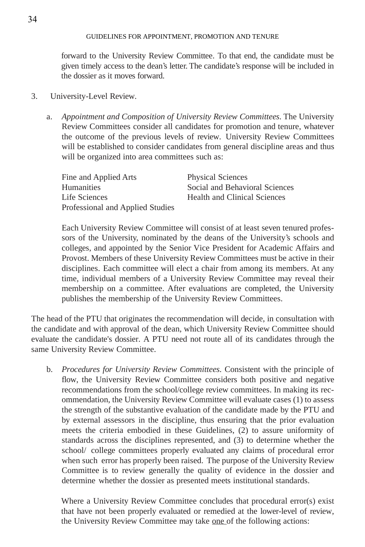forward to the University Review Committee. To that end, the candidate must be given timely access to the dean's letter. The candidate's response will be included in the dossier as it moves forward.

- 3. University-Level Review.
	- a. *Appointment and Composition of University Review Committees.* The University Review Committees consider all candidates for promotion and tenure, whatever the outcome of the previous levels of review. University Review Committees will be established to consider candidates from general discipline areas and thus will be organized into area committees such as:

| Fine and Applied Arts            | <b>Physical Sciences</b>            |
|----------------------------------|-------------------------------------|
| <b>Humanities</b>                | Social and Behavioral Sciences      |
| Life Sciences                    | <b>Health and Clinical Sciences</b> |
| Professional and Applied Studies |                                     |

Each University Review Committee will consist of at least seven tenured professors of the University, nominated by the deans of the University's schools and colleges, and appointed by the Senior Vice President for Academic Affairs and Provost. Members of these University Review Committees must be active in their disciplines. Each committee will elect a chair from among its members. At any time, individual members of a University Review Committee may reveal their membership on a committee. After evaluations are completed, the University publishes the membership of the University Review Committees.

The head of the PTU that originates the recommendation will decide, in consultation with the candidate and with approval of the dean, which University Review Committee should evaluate the candidate's dossier. A PTU need not route all of its candidates through the same University Review Committee.

b. *Procedures for University Review Committees.* Consistent with the principle of flow, the University Review Committee considers both positive and negative recommendations from the school/college review committees. In making its recommendation, the University Review Committee will evaluate cases (1) to assess the strength of the substantive evaluation of the candidate made by the PTU and by external assessors in the discipline, thus ensuring that the prior evaluation meets the criteria embodied in these Guidelines, (2) to assure uniformity of standards across the disciplines represented, and (3) to determine whether the school/ college committees properly evaluated any claims of procedural error when such error has properly been raised. The purpose of the University Review Committee is to review generally the quality of evidence in the dossier and determine whether the dossier as presented meets institutional standards.

Where a University Review Committee concludes that procedural error(s) exist that have not been properly evaluated or remedied at the lower-level of review, the University Review Committee may take one of the following actions: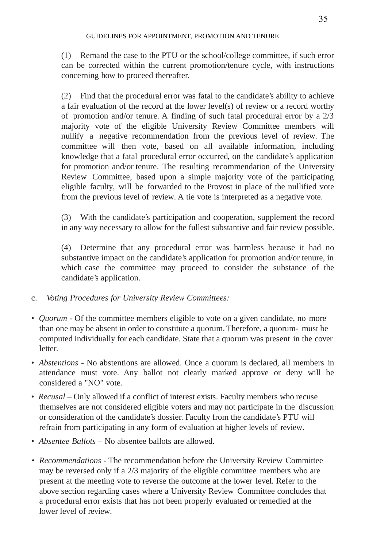(1) Remand the case to the PTU or the school/college committee, if such error can be corrected within the current promotion/tenure cycle, with instructions concerning how to proceed thereafter.

(2) Find that the procedural error was fatal to the candidate's ability to achieve a fair evaluation of the record at the lower level(s) of review or a record worthy of promotion and/or tenure. A finding of such fatal procedural error by a 2/3 majority vote of the eligible University Review Committee members will nullify a negative recommendation from the previous level of review. The committee will then vote, based on all available information, including knowledge that a fatal procedural error occurred, on the candidate's application for promotion and/or tenure. The resulting recommendation of the University Review Committee, based upon a simple majority vote of the participating eligible faculty, will be forwarded to the Provost in place of the nullified vote from the previous level of review. A tie vote is interpreted as a negative vote.

(3) With the candidate's participation and cooperation, supplement the record in any way necessary to allow for the fullest substantive and fair review possible.

(4) Determine that any procedural error was harmless because it had no substantive impact on the candidate's application for promotion and/or tenure, in which case the committee may proceed to consider the substance of the candidate's application.

- c. *Voting Procedures for University Review Committees:*
- *Quorum -* Of the committee members eligible to vote on a given candidate, no more than one may be absent in order to constitute a quorum. Therefore, a quorum- must be computed individually for each candidate. State that a quorum was present in the cover letter.
- *Abstentions -* No abstentions are allowed. Once a quorum is declared, all members in attendance must vote. Any ballot not clearly marked approve or deny will be considered a "NO" vote.
- *Recusal* Only allowed if a conflict of interest exists. Faculty members who recuse themselves are not considered eligible voters and may not participate in the discussion or consideration of the candidate's dossier. Faculty from the candidate's PTU will refrain from participating in any form of evaluation at higher levels of review.
- *Absentee Ballots* No absentee ballots are allowed.
- *Recommendations -* The recommendation before the University Review Committee may be reversed only if a 2/3 majority of the eligible committee members who are present at the meeting vote to reverse the outcome at the lower level. Refer to the above section regarding cases where a University Review Committee concludes that a procedural error exists that has not been properly evaluated or remedied at the lower level of review.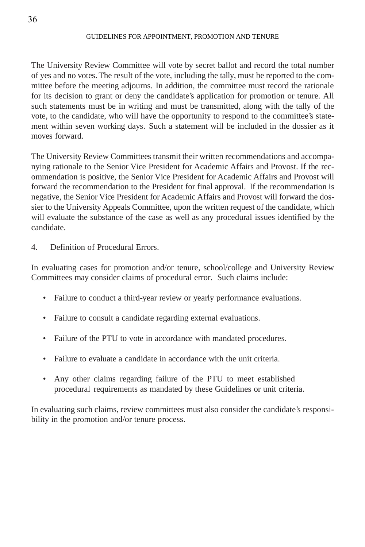The University Review Committee will vote by secret ballot and record the total number of yes and no votes. The result of the vote, including the tally, must be reported to the committee before the meeting adjourns. In addition, the committee must record the rationale for its decision to grant or deny the candidate's application for promotion or tenure. All such statements must be in writing and must be transmitted, along with the tally of the vote, to the candidate, who will have the opportunity to respond to the committee's statement within seven working days. Such a statement will be included in the dossier as it moves forward.

The University Review Committees transmit their written recommendations and accompanying rationale to the Senior Vice President for Academic Affairs and Provost. If the recommendation is positive, the Senior Vice President for Academic Affairs and Provost will forward the recommendation to the President for final approval. If the recommendation is negative, the Senior Vice President for Academic Affairs and Provost will forward the dossier to the University Appeals Committee, upon the written request of the candidate, which will evaluate the substance of the case as well as any procedural issues identified by the candidate.

4. Definition of Procedural Errors.

In evaluating cases for promotion and/or tenure, school/college and University Review Committees may consider claims of procedural error. Such claims include:

- Failure to conduct a third-year review or yearly performance evaluations.
- Failure to consult a candidate regarding external evaluations.
- Failure of the PTU to vote in accordance with mandated procedures.
- Failure to evaluate a candidate in accordance with the unit criteria.
- Any other claims regarding failure of the PTU to meet established procedural requirements as mandated by these Guidelines or unit criteria.

In evaluating such claims, review committees must also consider the candidate's responsibility in the promotion and/or tenure process.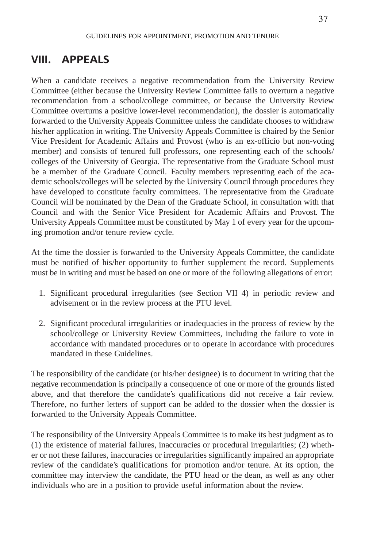# **VIII. APPEALS**

When a candidate receives a negative recommendation from the University Review Committee (either because the University Review Committee fails to overturn a negative recommendation from a school/college committee, or because the University Review Committee overturns a positive lower-level recommendation), the dossier is automatically forwarded to the University Appeals Committee unless the candidate chooses to withdraw his/her application in writing. The University Appeals Committee is chaired by the Senior Vice President for Academic Affairs and Provost (who is an ex-officio but non-voting member) and consists of tenured full professors, one representing each of the schools/ colleges of the University of Georgia. The representative from the Graduate School must be a member of the Graduate Council. Faculty members representing each of the academic schools/colleges will be selected by the University Council through procedures they have developed to constitute faculty committees. The representative from the Graduate Council will be nominated by the Dean of the Graduate School, in consultation with that Council and with the Senior Vice President for Academic Affairs and Provost. The University Appeals Committee must be constituted by May 1 of every year for the upcoming promotion and/or tenure review cycle.

At the time the dossier is forwarded to the University Appeals Committee, the candidate must be notified of his/her opportunity to further supplement the record. Supplements must be in writing and must be based on one or more of the following allegations of error:

- 1. Significant procedural irregularities (see Section VII 4) in periodic review and advisement or in the review process at the PTU level.
- 2. Significant procedural irregularities or inadequacies in the process of review by the school/college or University Review Committees, including the failure to vote in accordance with mandated procedures or to operate in accordance with procedures mandated in these Guidelines.

The responsibility of the candidate (or his/her designee) is to document in writing that the negative recommendation is principally a consequence of one or more of the grounds listed above, and that therefore the candidate's qualifications did not receive a fair review. Therefore, no further letters of support can be added to the dossier when the dossier is forwarded to the University Appeals Committee.

The responsibility of the University Appeals Committee is to make its best judgment as to (1) the existence of material failures, inaccuracies or procedural irregularities; (2) whether or not these failures, inaccuracies or irregularities significantly impaired an appropriate review of the candidate's qualifications for promotion and/or tenure. At its option, the committee may interview the candidate, the PTU head or the dean, as well as any other individuals who are in a position to provide useful information about the review.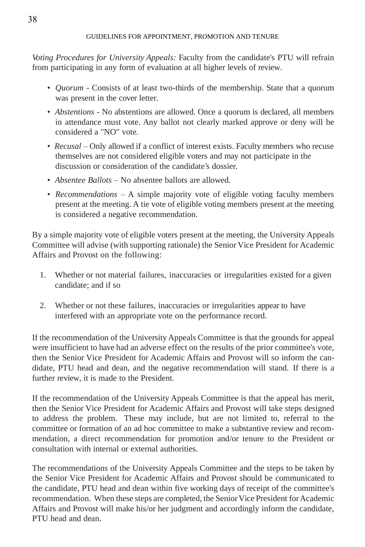*Voting Procedures for University Appeals:* Faculty from the candidate's PTU will refrain from participating in any form of evaluation at all higher levels of review.

- *Quorum -* Consists of at least two-thirds of the membership. State that a quorum was present in the cover letter.
- *Abstentions -* No abstentions are allowed. Once a quorum is declared, all members in attendance must vote. Any ballot not clearly marked approve or deny will be considered a "NO" vote.
- *Recusal –* Only allowed if a conflict of interest exists. Faculty members who recuse themselves are not considered eligible voters and may not participate in the discussion or consideration of the candidate's dossier.
- *Absentee Ballots* No absentee ballots are allowed.
- *Recommendations* A simple majority vote of eligible voting faculty members present at the meeting. A tie vote of eligible voting members present at the meeting is considered a negative recommendation.

By a simple majority vote of eligible voters present at the meeting, the University Appeals Committee will advise (with supporting rationale) the Senior Vice President for Academic Affairs and Provost on the following:

- 1. Whether or not material failures, inaccuracies or irregularities existed for a given candidate; and if so
- 2. Whether or not these failures, inaccuracies or irregularities appear to have interfered with an appropriate vote on the performance record.

If the recommendation of the University Appeals Committee is that the grounds for appeal were insufficient to have had an adverse effect on the results of the prior committee's vote, then the Senior Vice President for Academic Affairs and Provost will so inform the candidate, PTU head and dean, and the negative recommendation will stand. If there is a further review, it is made to the President.

If the recommendation of the University Appeals Committee is that the appeal has merit, then the Senior Vice President for Academic Affairs and Provost will take steps designed to address the problem. These may include, but are not limited to, referral to the committee or formation of an ad hoc committee to make a substantive review and recommendation, a direct recommendation for promotion and/or tenure to the President or consultation with internal or external authorities.

The recommendations of the University Appeals Committee and the steps to be taken by the Senior Vice President for Academic Affairs and Provost should be communicated to the candidate, PTU head and dean within five working days of receipt of the committee's recommendation. When these steps are completed, the Senior Vice President for Academic Affairs and Provost will make his/or her judgment and accordingly inform the candidate, PTU head and dean.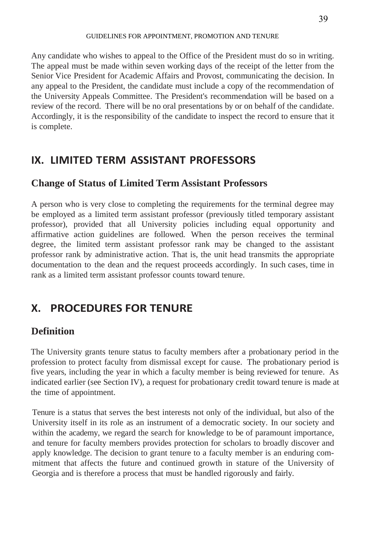Any candidate who wishes to appeal to the Office of the President must do so in writing. The appeal must be made within seven working days of the receipt of the letter from the Senior Vice President for Academic Affairs and Provost, communicating the decision. In any appeal to the President, the candidate must include a copy of the recommendation of the University Appeals Committee. The President's recommendation will be based on a review of the record. There will be no oral presentations by or on behalf of the candidate. Accordingly, it is the responsibility of the candidate to inspect the record to ensure that it is complete.

# **IX. LIMITED TERM ASSISTANT PROFESSORS**

### **Change of Status of Limited Term Assistant Professors**

A person who is very close to completing the requirements for the terminal degree may be employed as a limited term assistant professor (previously titled temporary assistant professor), provided that all University policies including equal opportunity and affirmative action guidelines are followed. When the person receives the terminal degree, the limited term assistant professor rank may be changed to the assistant professor rank by administrative action. That is, the unit head transmits the appropriate documentation to the dean and the request proceeds accordingly. In such cases, time in rank as a limited term assistant professor counts toward tenure.

# **X. PROCEDURES FOR TENURE**

# **Definition**

The University grants tenure status to faculty members after a probationary period in the profession to protect faculty from dismissal except for cause. The probationary period is five years, including the year in which a faculty member is being reviewed for tenure. As indicated earlier (see Section IV), a request for probationary credit toward tenure is made at the time of appointment.

Tenure is a status that serves the best interests not only of the individual, but also of the University itself in its role as an instrument of a democratic society. In our society and within the academy, we regard the search for knowledge to be of paramount importance, and tenure for faculty members provides protection for scholars to broadly discover and apply knowledge. The decision to grant tenure to a faculty member is an enduring commitment that affects the future and continued growth in stature of the University of Georgia and is therefore a process that must be handled rigorously and fairly.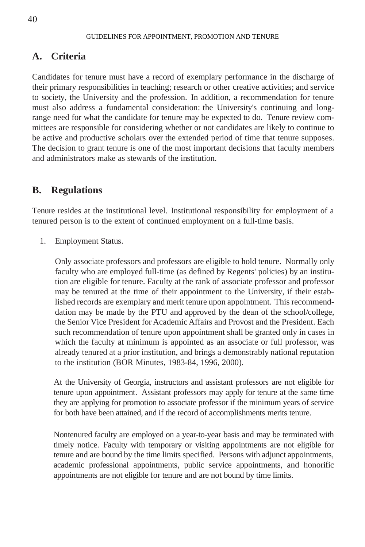### **A. Criteria**

Candidates for tenure must have a record of exemplary performance in the discharge of their primary responsibilities in teaching; research or other creative activities; and service to society, the University and the profession. In addition, a recommendation for tenure must also address a fundamental consideration: the University's continuing and longrange need for what the candidate for tenure may be expected to do. Tenure review committees are responsible for considering whether or not candidates are likely to continue to be active and productive scholars over the extended period of time that tenure supposes. The decision to grant tenure is one of the most important decisions that faculty members and administrators make as stewards of the institution.

### **B. Regulations**

Tenure resides at the institutional level. Institutional responsibility for employment of a tenured person is to the extent of continued employment on a full-time basis.

1. Employment Status.

Only associate professors and professors are eligible to hold tenure. Normally only faculty who are employed full-time (as defined by Regents' policies) by an institution are eligible for tenure. Faculty at the rank of associate professor and professor may be tenured at the time of their appointment to the University, if their established records are exemplary and merit tenure upon appointment. This recommenddation may be made by the PTU and approved by the dean of the school/college, the Senior Vice President for Academic Affairs and Provost and the President. Each such recommendation of tenure upon appointment shall be granted only in cases in which the faculty at minimum is appointed as an associate or full professor, was already tenured at a prior institution, and brings a demonstrably national reputation to the institution (BOR Minutes, 1983-84, 1996, 2000).

At the University of Georgia, instructors and assistant professors are not eligible for tenure upon appointment. Assistant professors may apply for tenure at the same time they are applying for promotion to associate professor if the minimum years of service for both have been attained, and if the record of accomplishments merits tenure.

Nontenured faculty are employed on a year-to-year basis and may be terminated with timely notice. Faculty with temporary or visiting appointments are not eligible for tenure and are bound by the time limits specified. Persons with adjunct appointments, academic professional appointments, public service appointments, and honorific appointments are not eligible for tenure and are not bound by time limits.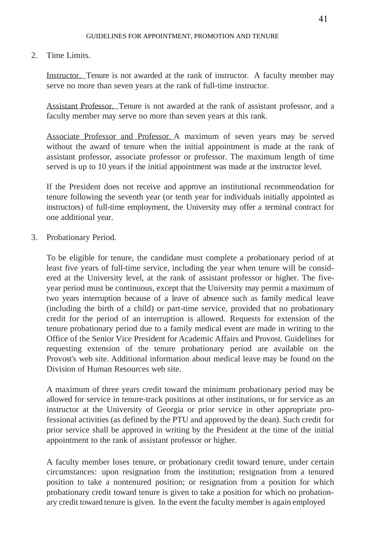#### 2. Time Limits.

Instructor. Tenure is not awarded at the rank of instructor. A faculty member may serve no more than seven years at the rank of full-time instructor.

Assistant Professor. Tenure is not awarded at the rank of assistant professor, and a faculty member may serve no more than seven years at this rank.

Associate Professor and Professor. A maximum of seven years may be served without the award of tenure when the initial appointment is made at the rank of assistant professor, associate professor or professor. The maximum length of time served is up to 10 years if the initial appointment was made at the instructor level.

If the President does not receive and approve an institutional recommendation for tenure following the seventh year (or tenth year for individuals initially appointed as instructors) of full-time employment, the University may offer a terminal contract for one additional year.

3. Probationary Period.

To be eligible for tenure, the candidate must complete a probationary period of at least five years of full-time service, including the year when tenure will be considered at the University level, at the rank of assistant professor or higher. The fiveyear period must be continuous, except that the University may permit a maximum of two years interruption because of a leave of absence such as family medical leave (including the birth of a child) or part-time service, provided that no probationary credit for the period of an interruption is allowed. Requests for extension of the tenure probationary period due to a family medical event are made in writing to the Office of the Senior Vice President for Academic Affairs and Provost. Guidelines for requesting extension of the tenure probationary period are available on the Provost's web site. Additional information about medical leave may be found on the Division of Human Resources web site.

A maximum of three years credit toward the minimum probationary period may be allowed for service in tenure-track positions at other institutions, or for service as an instructor at the University of Georgia or prior service in other appropriate professional activities (as defined by the PTU and approved by the dean). Such credit for prior service shall be approved in writing by the President at the time of the initial appointment to the rank of assistant professor or higher.

A faculty member loses tenure, or probationary credit toward tenure, under certain circumstances: upon resignation from the institution; resignation from a tenured position to take a nontenured position; or resignation from a position for which probationary credit toward tenure is given to take a position for which no probationary credit toward tenure is given. In the event the faculty member is again employed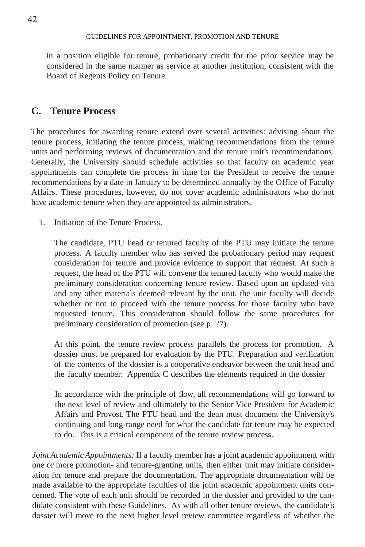in a position eligible for tenure, probationary credit for the prior service may be considered in the same manner as service at another institution, consistent with the Board of Regents Policy on Tenure.

### **C. Tenure Process**

The procedures for awarding tenure extend over several activities: advising about the tenure process, initiating the tenure process, making recommendations from the tenure units and performing reviews of documentation and the tenure unit's recommendations. Generally, the University should schedule activities so that faculty on academic year appointments can complete the process in time for the President to receive the tenure recommendations by a date in January to be determined annually by the Office of Faculty Affairs. These procedures, however, do not cover academic administrators who do not have academic tenure when they are appointed as administrators.

1. Initiation of the Tenure Process.

The candidate, PTU head or tenured faculty of the PTU may initiate the tenure process. A faculty member who has served the probationary period may request consideration for tenure and provide evidence to support that request. At such a request, the head of the PTU will convene the tenured faculty who would make the preliminary consideration concerning tenure review. Based upon an updated vita and any other materials deemed relevant by the unit, the unit faculty will decide whether or not to proceed with the tenure process for those faculty who have requested tenure. This consideration should follow the same procedures for preliminary consideration of promotion (see p. 27).

At this point, the tenure review process parallels the process for promotion. A dossier must be prepared for evaluation by the PTU. Preparation and verification of the contents of the dossier is a cooperative endeavor between the unit head and the faculty member. Appendix C describes the elements required in the dossier

In accordance with the principle of flow, all recommendations will go forward to the next level of review and ultimately to the Senior Vice President for Academic Affairs and Provost. The PTU head and the dean must document the University's continuing and long-range need for what the candidate for tenure may be expected to do. This is a critical component of the tenure review process.

*Joint Academic Appointments:* If a faculty member has a joint academic appointment with one or more promotion- and tenure-granting units, then either unit may initiate consideration for tenure and prepare the documentation. The appropriate documentation will be made available to the appropriate faculties of the joint academic appointment units concerned. The vote of each unit should be recorded in the dossier and provided to the candidate consistent with these Guidelines. As with all other tenure reviews, the candidate's dossier will move to the next higher level review committee regardless of whether the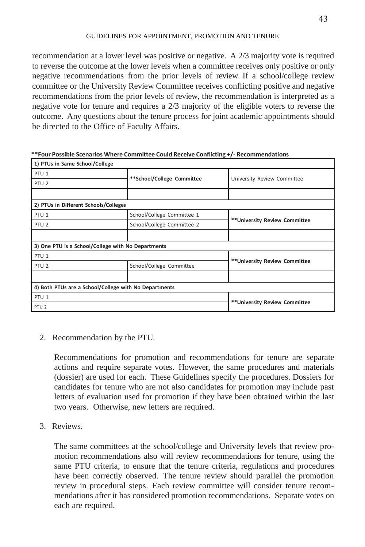recommendation at a lower level was positive or negative. A 2/3 majority vote is required to reverse the outcome at the lower levels when a committee receives only positive or only negative recommendations from the prior levels of review. If a school/college review committee or the University Review Committee receives conflicting positive and negative recommendations from the prior levels of review, the recommendation is interpreted as a negative vote for tenure and requires a 2/3 majority of the eligible voters to reverse the outcome. Any questions about the tenure process for joint academic appointments should be directed to the Office of Faculty Affairs.

| 1) PTUs in Same School/College                        |                            |                                |  |
|-------------------------------------------------------|----------------------------|--------------------------------|--|
| PTU <sub>1</sub>                                      |                            | University Review Committee    |  |
| PTU <sub>2</sub>                                      | **School/College Committee |                                |  |
|                                                       |                            |                                |  |
| 2) PTUs in Different Schools/Colleges                 |                            |                                |  |
| PTU <sub>1</sub>                                      | School/College Committee 1 | ** University Review Committee |  |
| PTU <sub>2</sub>                                      | School/College Committee 2 |                                |  |
|                                                       |                            |                                |  |
| 3) One PTU is a School/College with No Departments    |                            |                                |  |
| PTU <sub>1</sub>                                      |                            |                                |  |
| PTU <sub>2</sub>                                      | School/College Committee   | **University Review Committee  |  |
|                                                       |                            |                                |  |
| 4) Both PTUs are a School/College with No Departments |                            |                                |  |
| PTU <sub>1</sub>                                      |                            |                                |  |
| PTU <sub>2</sub>                                      |                            | ** University Review Committee |  |

**\*\*Four Possible Scenarios Where Committee Could Receive Conflicting +/- Recommendations**

2. Recommendation by the PTU.

Recommendations for promotion and recommendations for tenure are separate actions and require separate votes. However, the same procedures and materials (dossier) are used for each. These Guidelines specify the procedures. Dossiers for candidates for tenure who are not also candidates for promotion may include past letters of evaluation used for promotion if they have been obtained within the last two years. Otherwise, new letters are required.

3. Reviews.

The same committees at the school/college and University levels that review promotion recommendations also will review recommendations for tenure, using the same PTU criteria, to ensure that the tenure criteria, regulations and procedures have been correctly observed. The tenure review should parallel the promotion review in procedural steps. Each review committee will consider tenure recommendations after it has considered promotion recommendations. Separate votes on each are required.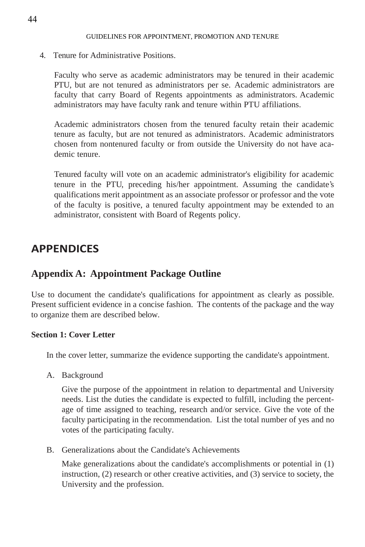4. Tenure for Administrative Positions.

Faculty who serve as academic administrators may be tenured in their academic PTU, but are not tenured as administrators per se. Academic administrators are faculty that carry Board of Regents appointments as administrators. Academic administrators may have faculty rank and tenure within PTU affiliations.

Academic administrators chosen from the tenured faculty retain their academic tenure as faculty, but are not tenured as administrators. Academic administrators chosen from nontenured faculty or from outside the University do not have academic tenure.

Tenured faculty will vote on an academic administrator's eligibility for academic tenure in the PTU, preceding his/her appointment. Assuming the candidate's qualifications merit appointment as an associate professor or professor and the vote of the faculty is positive, a tenured faculty appointment may be extended to an administrator, consistent with Board of Regents policy.

# **APPENDICES**

### **Appendix A: Appointment Package Outline**

Use to document the candidate's qualifications for appointment as clearly as possible. Present sufficient evidence in a concise fashion. The contents of the package and the way to organize them are described below.

#### **Section 1: Cover Letter**

In the cover letter, summarize the evidence supporting the candidate's appointment.

A. Background

Give the purpose of the appointment in relation to departmental and University needs. List the duties the candidate is expected to fulfill, including the percentage of time assigned to teaching, research and/or service. Give the vote of the faculty participating in the recommendation. List the total number of yes and no votes of the participating faculty.

B. Generalizations about the Candidate's Achievements

Make generalizations about the candidate's accomplishments or potential in (1) instruction, (2) research or other creative activities, and (3) service to society, the University and the profession.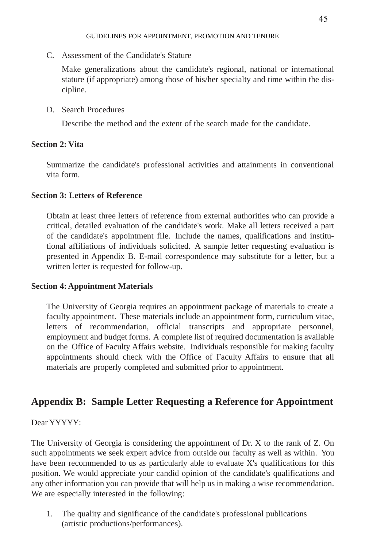C. Assessment of the Candidate's Stature

Make generalizations about the candidate's regional, national or international stature (if appropriate) among those of his/her specialty and time within the discipline.

### D. Search Procedures

Describe the method and the extent of the search made for the candidate.

### **Section 2: Vita**

Summarize the candidate's professional activities and attainments in conventional vita form.

### **Section 3: Letters of Reference**

Obtain at least three letters of reference from external authorities who can provide a critical, detailed evaluation of the candidate's work. Make all letters received a part of the candidate's appointment file. Include the names, qualifications and institutional affiliations of individuals solicited. A sample letter requesting evaluation is presented in Appendix B. E-mail correspondence may substitute for a letter, but a written letter is requested for follow-up.

### **Section 4:Appointment Materials**

The University of Georgia requires an appointment package of materials to create a faculty appointment. These materials include an appointment form, curriculum vitae, letters of recommendation, official transcripts and appropriate personnel, employment and budget forms. A complete list of required documentation is available on the Office of Faculty Affairs website. Individuals responsible for making faculty appointments should check with the Office of Faculty Affairs to ensure that all materials are properly completed and submitted prior to appointment.

# **Appendix B: Sample Letter Requesting a Reference for Appointment**

### Dear YYYYY:

The University of Georgia is considering the appointment of Dr. X to the rank of Z. On such appointments we seek expert advice from outside our faculty as well as within. You have been recommended to us as particularly able to evaluate X's qualifications for this position. We would appreciate your candid opinion of the candidate's qualifications and any other information you can provide that will help us in making a wise recommendation. We are especially interested in the following:

1. The quality and significance of the candidate's professional publications (artistic productions/performances).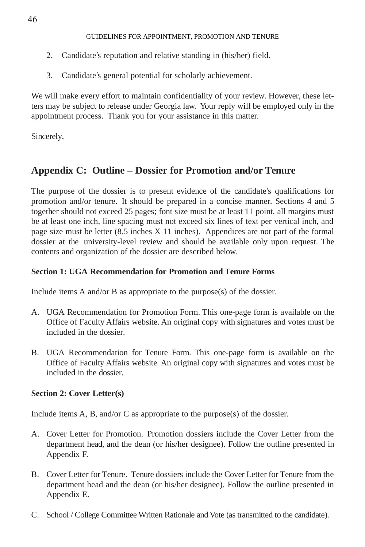- 2. Candidate's reputation and relative standing in (his/her) field.
- 3. Candidate's general potential for scholarly achievement.

We will make every effort to maintain confidentiality of your review. However, these letters may be subject to release under Georgia law. Your reply will be employed only in the appointment process. Thank you for your assistance in this matter.

Sincerely,

# **Appendix C: Outline – Dossier for Promotion and/or Tenure**

The purpose of the dossier is to present evidence of the candidate's qualifications for promotion and/or tenure. It should be prepared in a concise manner. Sections 4 and 5 together should not exceed 25 pages; font size must be at least 11 point, all margins must be at least one inch, line spacing must not exceed six lines of text per vertical inch, and page size must be letter (8.5 inches X 11 inches). Appendices are not part of the formal dossier at the university-level review and should be available only upon request. The contents and organization of the dossier are described below.

### **Section 1: UGA Recommendation for Promotion and Tenure Forms**

Include items A and/or B as appropriate to the purpose(s) of the dossier.

- A. UGA Recommendation for Promotion Form. This one-page form is available on the Office of Faculty Affairs website. An original copy with signatures and votes must be included in the dossier.
- B. UGA Recommendation for Tenure Form. This one-page form is available on the Office of Faculty Affairs website. An original copy with signatures and votes must be included in the dossier.

### **Section 2: Cover Letter(s)**

Include items A, B, and/or C as appropriate to the purpose(s) of the dossier.

- A. Cover Letter for Promotion. Promotion dossiers include the Cover Letter from the department head, and the dean (or his/her designee). Follow the outline presented in Appendix F.
- B. Cover Letter for Tenure. Tenure dossiers include the Cover Letter for Tenure from the department head and the dean (or his/her designee). Follow the outline presented in Appendix E.
- C. School / College Committee Written Rationale and Vote (as transmitted to the candidate).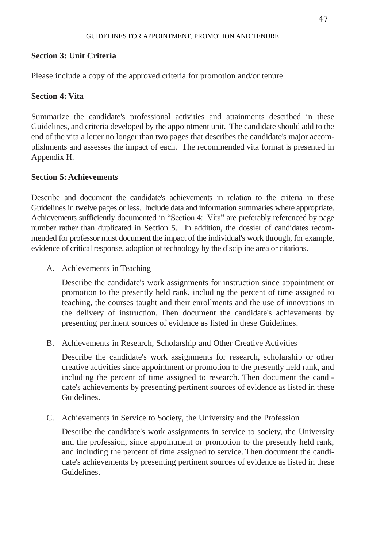#### **Section 3: Unit Criteria**

Please include a copy of the approved criteria for promotion and/or tenure.

#### **Section 4: Vita**

Summarize the candidate's professional activities and attainments described in these Guidelines, and criteria developed by the appointment unit. The candidate should add to the end of the vita a letter no longer than two pages that describes the candidate's major accomplishments and assesses the impact of each. The recommended vita format is presented in Appendix H.

#### **Section 5:Achievements**

Describe and document the candidate's achievements in relation to the criteria in these Guidelines in twelve pages or less. Include data and information summaries where appropriate. Achievements sufficiently documented in "Section 4: Vita" are preferably referenced by page number rather than duplicated in Section 5. In addition, the dossier of candidates recommended for professor must document the impact of the individual's work through, for example, evidence of critical response, adoption of technology by the discipline area or citations.

A. Achievements in Teaching

Describe the candidate's work assignments for instruction since appointment or promotion to the presently held rank, including the percent of time assigned to teaching, the courses taught and their enrollments and the use of innovations in the delivery of instruction. Then document the candidate's achievements by presenting pertinent sources of evidence as listed in these Guidelines.

B. Achievements in Research, Scholarship and Other Creative Activities

Describe the candidate's work assignments for research, scholarship or other creative activities since appointment or promotion to the presently held rank, and including the percent of time assigned to research. Then document the candidate's achievements by presenting pertinent sources of evidence as listed in these Guidelines.

C. Achievements in Service to Society, the University and the Profession

Describe the candidate's work assignments in service to society, the University and the profession, since appointment or promotion to the presently held rank, and including the percent of time assigned to service. Then document the candidate's achievements by presenting pertinent sources of evidence as listed in these **Guidelines**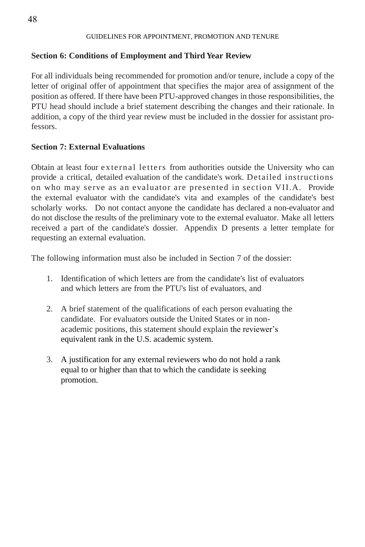### **Section 6: Conditions of Employment and Third Year Review**

For all individuals being recommended for promotion and/or tenure, include a copy of the letter of original offer of appointment that specifies the major area of assignment of the position as offered. If there have been PTU-approved changes in those responsibilities, the PTU head should include a brief statement describing the changes and their rationale. In addition, a copy of the third year review must be included in the dossier for assistant professors.

### **Section 7: External Evaluations**

Obtain at least four external letters from authorities outside the University who can provide a critical, detailed evaluation of the candidate's work. Detailed instructions on who may serve as an evaluator are presented in section VII.A. Provide the external evaluator with the candidate's vita and examples of the candidate's best scholarly works. Do not contact anyone the candidate has declared a non-evaluator and do not disclose the results of the preliminary vote to the external evaluator. Make all letters received a part of the candidate's dossier. Appendix D presents a letter template for requesting an external evaluation.

The following information must also be included in Section 7 of the dossier:

- 1. Identification of which letters are from the candidate's list of evaluators and which letters are from the PTU's list of evaluators, and
- 2. A brief statement of the qualifications of each person evaluating the candidate. For evaluators outside the United States or in nonacademic positions, this statement should explain the reviewer's equivalent rank in the U.S. academic system.
- 3. A justification for any external reviewers who do not hold a rank equal to or higher than that to which the candidate is seeking promotion.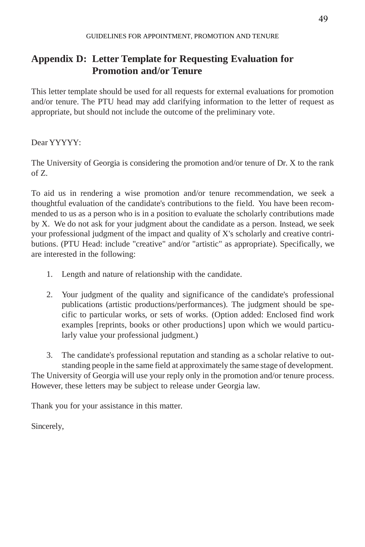# **Appendix D: Letter Template for Requesting Evaluation for Promotion and/or Tenure**

This letter template should be used for all requests for external evaluations for promotion and/or tenure. The PTU head may add clarifying information to the letter of request as appropriate, but should not include the outcome of the preliminary vote.

Dear YYYYY:

The University of Georgia is considering the promotion and/or tenure of Dr. X to the rank of Z.

To aid us in rendering a wise promotion and/or tenure recommendation, we seek a thoughtful evaluation of the candidate's contributions to the field. You have been recommended to us as a person who is in a position to evaluate the scholarly contributions made by X. We do not ask for your judgment about the candidate as a person. Instead, we seek your professional judgment of the impact and quality of X's scholarly and creative contributions. (PTU Head: include "creative" and/or "artistic" as appropriate). Specifically, we are interested in the following:

- 1. Length and nature of relationship with the candidate.
- 2. Your judgment of the quality and significance of the candidate's professional publications (artistic productions/performances). The judgment should be specific to particular works, or sets of works. (Option added: Enclosed find work examples [reprints, books or other productions] upon which we would particularly value your professional judgment.)

3. The candidate's professional reputation and standing as a scholar relative to outstanding people in the same field at approximately the same stage of development. The University of Georgia will use your reply only in the promotion and/or tenure process. However, these letters may be subject to release under Georgia law.

Thank you for your assistance in this matter.

Sincerely,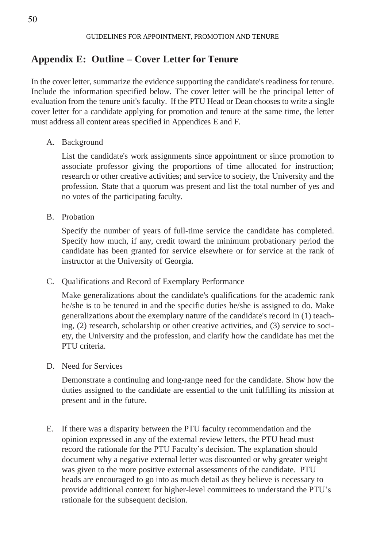## **Appendix E: Outline – Cover Letter for Tenure**

In the cover letter, summarize the evidence supporting the candidate's readiness for tenure. Include the information specified below. The cover letter will be the principal letter of evaluation from the tenure unit's faculty. If the PTU Head or Dean chooses to write a single cover letter for a candidate applying for promotion and tenure at the same time, the letter must address all content areas specified in Appendices E and F.

A. Background

List the candidate's work assignments since appointment or since promotion to associate professor giving the proportions of time allocated for instruction; research or other creative activities; and service to society, the University and the profession. State that a quorum was present and list the total number of yes and no votes of the participating faculty.

B. Probation

Specify the number of years of full-time service the candidate has completed. Specify how much, if any, credit toward the minimum probationary period the candidate has been granted for service elsewhere or for service at the rank of instructor at the University of Georgia.

C. Qualifications and Record of Exemplary Performance

Make generalizations about the candidate's qualifications for the academic rank he/she is to be tenured in and the specific duties he/she is assigned to do. Make generalizations about the exemplary nature of the candidate's record in (1) teaching, (2) research, scholarship or other creative activities, and (3) service to society, the University and the profession, and clarify how the candidate has met the PTU criteria.

D. Need for Services

Demonstrate a continuing and long-range need for the candidate. Show how the duties assigned to the candidate are essential to the unit fulfilling its mission at present and in the future.

E. If there was a disparity between the PTU faculty recommendation and the opinion expressed in any of the external review letters, the PTU head must record the rationale for the PTU Faculty's decision. The explanation should document why a negative external letter was discounted or why greater weight was given to the more positive external assessments of the candidate. PTU heads are encouraged to go into as much detail as they believe is necessary to provide additional context for higher-level committees to understand the PTU's rationale for the subsequent decision.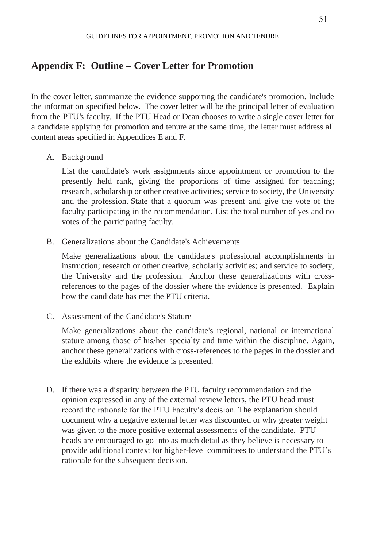### **Appendix F: Outline – Cover Letter for Promotion**

In the cover letter, summarize the evidence supporting the candidate's promotion. Include the information specified below. The cover letter will be the principal letter of evaluation from the PTU's faculty. If the PTU Head or Dean chooses to write a single cover letter for a candidate applying for promotion and tenure at the same time, the letter must address all content areas specified in Appendices E and F.

A. Background

List the candidate's work assignments since appointment or promotion to the presently held rank, giving the proportions of time assigned for teaching; research, scholarship or other creative activities; service to society, the University and the profession. State that a quorum was present and give the vote of the faculty participating in the recommendation. List the total number of yes and no votes of the participating faculty.

B. Generalizations about the Candidate's Achievements

Make generalizations about the candidate's professional accomplishments in instruction; research or other creative, scholarly activities; and service to society, the University and the profession. Anchor these generalizations with crossreferences to the pages of the dossier where the evidence is presented. Explain how the candidate has met the PTU criteria.

C. Assessment of the Candidate's Stature

Make generalizations about the candidate's regional, national or international stature among those of his/her specialty and time within the discipline. Again, anchor these generalizations with cross-references to the pages in the dossier and the exhibits where the evidence is presented.

D. If there was a disparity between the PTU faculty recommendation and the opinion expressed in any of the external review letters, the PTU head must record the rationale for the PTU Faculty's decision. The explanation should document why a negative external letter was discounted or why greater weight was given to the more positive external assessments of the candidate. PTU heads are encouraged to go into as much detail as they believe is necessary to provide additional context for higher-level committees to understand the PTU's rationale for the subsequent decision.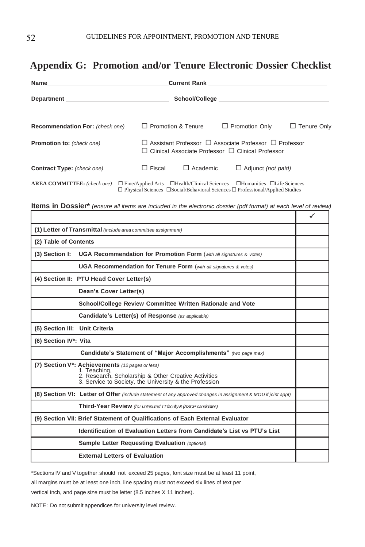# **Appendix G: Promotion and/or Tenure Electronic Dossier Checklist**

|                                    |               | <b>Current Rank Current Rank</b>                                                                                                        |                                                                                                                                                                                                   |                    |
|------------------------------------|---------------|-----------------------------------------------------------------------------------------------------------------------------------------|---------------------------------------------------------------------------------------------------------------------------------------------------------------------------------------------------|--------------------|
| Department                         |               |                                                                                                                                         |                                                                                                                                                                                                   |                    |
| Recommendation For: (check one)    |               | $\Box$ Promotion & Tenure<br>$\Box$ Promotion Only                                                                                      |                                                                                                                                                                                                   | $\Box$ Tenure Only |
| <b>Promotion to:</b> (check one)   |               | $\Box$ Assistant Professor $\Box$ Associate Professor $\Box$ Professor<br>$\Box$ Clinical Associate Professor $\Box$ Clinical Professor |                                                                                                                                                                                                   |                    |
| <b>Contract Type:</b> (check one)  | $\Box$ Fiscal | $\Box$ Academic                                                                                                                         | $\Box$ Adjunct (not paid)                                                                                                                                                                         |                    |
| <b>AREA COMMITTEE:</b> (check one) |               |                                                                                                                                         | $\Box$ Fine/Applied Arts $\Box$ Health/Clinical Sciences $\Box$ Humanities $\Box$ Life Sciences<br>$\Box$ Physical Sciences $\Box$ Social/Behavioral Sciences $\Box$ Professional/Applied Studies |                    |

Items in Dossier\* (ensure all items are included in the electronic dossier (pdf format) at each level of review)

|                                                                                                                                                                                                | ✓ |
|------------------------------------------------------------------------------------------------------------------------------------------------------------------------------------------------|---|
| (1) Letter of Transmittal (include area committee assignment)                                                                                                                                  |   |
| (2) Table of Contents                                                                                                                                                                          |   |
| (3) Section I:<br><b>UGA Recommendation for Promotion Form</b> (with all signatures & votes)                                                                                                   |   |
| UGA Recommendation for Tenure Form (with all signatures & votes)                                                                                                                               |   |
| (4) Section II: PTU Head Cover Letter(s)                                                                                                                                                       |   |
| Dean's Cover Letter(s)                                                                                                                                                                         |   |
| School/College Review Committee Written Rationale and Vote                                                                                                                                     |   |
| Candidate's Letter(s) of Response (as applicable)                                                                                                                                              |   |
| (5) Section III: Unit Criteria                                                                                                                                                                 |   |
| (6) Section IV*: Vita                                                                                                                                                                          |   |
| Candidate's Statement of "Major Accomplishments" (two page max)                                                                                                                                |   |
| (7) Section V <sup>*</sup> : Achievements (12 pages or less)<br>1. Teaching,<br>2. Research, Scholarship & Other Creative Activities<br>3. Service to Society, the University & the Profession |   |
| (8) Section VI: Letter of Offer (include statement of any approved changes in assignment & MOU if joint appt)                                                                                  |   |
| Third-Year Review (for untenured TT faculty & (ASOP candidates)                                                                                                                                |   |
| (9) Section VII: Brief Statement of Qualifications of Each External Evaluator                                                                                                                  |   |
| Identification of Evaluation Letters from Candidate's List vs PTU's List                                                                                                                       |   |
| Sample Letter Requesting Evaluation (optional)                                                                                                                                                 |   |
| <b>External Letters of Evaluation</b>                                                                                                                                                          |   |

\*Sections IV and V together should not exceed 25 pages, font size must be at least 11 point,

all margins must be at least one inch, line spacing must not exceed six lines of text per

vertical inch, and page size must be letter (8.5 inches X 11 inches).

NOTE: Do not submit appendices for university level review.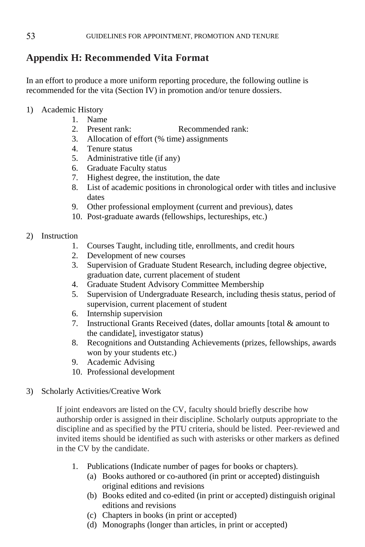# **Appendix H: Recommended Vita Format**

In an effort to produce a more uniform reporting procedure, the following outline is recommended for the vita (Section IV) in promotion and/or tenure dossiers.

- 1) Academic History
	- 1. Name
	- 2. Present rank: Recommended rank:
	- 3. Allocation of effort (% time) assignments
	- 4. Tenure status
	- 5. Administrative title (if any)
	- 6. Graduate Faculty status
	- 7. Highest degree, the institution, the date
	- 8. List of academic positions in chronological order with titles and inclusive dates
	- 9. Other professional employment (current and previous), dates
	- 10. Post-graduate awards (fellowships, lectureships, etc.)

#### 2) Instruction

- 1. Courses Taught, including title, enrollments, and credit hours
- 2. Development of new courses
- 3. Supervision of Graduate Student Research, including degree objective, graduation date, current placement of student
- 4. Graduate Student Advisory Committee Membership
- 5. Supervision of Undergraduate Research, including thesis status, period of supervision, current placement of student
- 6. Internship supervision
- 7. Instructional Grants Received (dates, dollar amounts [total & amount to the candidate], investigator status)
- 8. Recognitions and Outstanding Achievements (prizes, fellowships, awards won by your students etc.)
- 9. Academic Advising
- 10. Professional development
- 3) Scholarly Activities/Creative Work

If joint endeavors are listed on the CV, faculty should briefly describe how authorship order is assigned in their discipline. Scholarly outputs appropriate to the discipline and as specified by the PTU criteria, should be listed. Peer-reviewed and invited items should be identified as such with asterisks or other markers as defined in the CV by the candidate.

- 1. Publications (Indicate number of pages for books or chapters).
	- (a) Books authored or co-authored (in print or accepted) distinguish original editions and revisions
	- (b) Books edited and co-edited (in print or accepted) distinguish original editions and revisions
	- (c) Chapters in books (in print or accepted)
	- (d) Monographs (longer than articles, in print or accepted)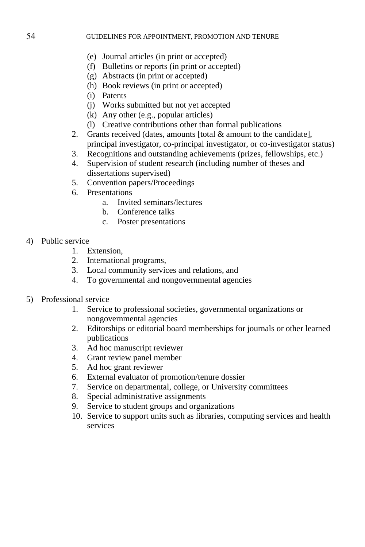- (e) Journal articles (in print or accepted)
- (f) Bulletins or reports (in print or accepted)
- (g) Abstracts (in print or accepted)
- (h) Book reviews (in print or accepted)
- (i) Patents
- (j) Works submitted but not yet accepted
- (k) Any other (e.g., popular articles)
- (l) Creative contributions other than formal publications
- 2. Grants received (dates, amounts [total & amount to the candidate], principal investigator, co-principal investigator, or co-investigator status)
- 3. Recognitions and outstanding achievements (prizes, fellowships, etc.)
- 4. Supervision of student research (including number of theses and dissertations supervised)
- 5. Convention papers/Proceedings
- 6. Presentations
	- a. Invited seminars/lectures
	- b. Conference talks
	- c. Poster presentations
- 4) Public service
	- 1. Extension,
	- 2. International programs,
	- 3. Local community services and relations, and
	- 4. To governmental and nongovernmental agencies
- 5) Professional service
	- 1. Service to professional societies, governmental organizations or nongovernmental agencies
	- 2. Editorships or editorial board memberships for journals or other learned publications
	- 3. Ad hoc manuscript reviewer
	- 4. Grant review panel member
	- 5. Ad hoc grant reviewer
	- 6. External evaluator of promotion/tenure dossier
	- 7. Service on departmental, college, or University committees
	- 8. Special administrative assignments
	- 9. Service to student groups and organizations
	- 10. Service to support units such as libraries, computing services and health services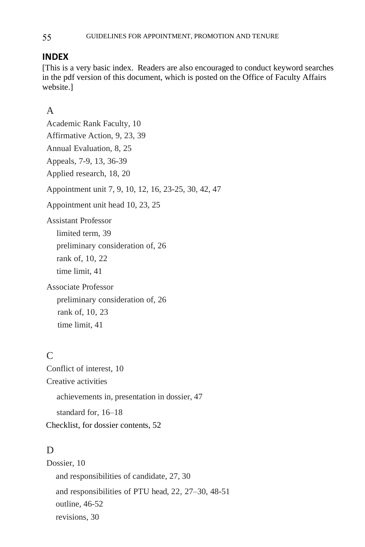### **INDEX**

[This is a very basic index. Readers are also encouraged to conduct keyword searches in the pdf version of this document, which is posted on the Office of Faculty Affairs website.]

### A

Academic Rank Faculty, 10 Affirmative Action, 9, 23, 39 Annual Evaluation, 8, 25 Appeals, 7-9, 13, 36-39 Applied research, 18, 20 Appointment unit 7, 9, 10, 12, 16, 23-25, 30, 42, 47 Appointment unit head 10, 23, 25 Assistant Professor limited term, 39 preliminary consideration of, 26 rank of, 10, 22 time limit, 41 Associate Professor preliminary consideration of, 26 rank of, 10, 23 time limit, 41  $\Gamma$ Conflict of interest, 10 Creative activities achievements in, presentation in dossier, 47 standard for, 16–18

Checklist, for dossier contents, 52

### D<sub>1</sub>

Dossier, 10 and responsibilities of candidate, 27, 30 and responsibilities of PTU head, 22, 27–30, 48-51 outline, 46-52 revisions, 30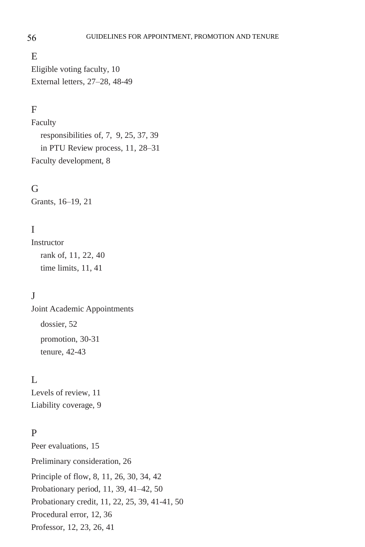#### E

Eligible voting faculty, 10 External letters, 27–28, 48-49

### F

Faculty responsibilities of, 7, 9, 25, 37, 39 in PTU Review process, 11, 28–31 Faculty development, 8

#### G

Grants, 16–19, 21

### I

**Instructor** rank of, 11, 22, 40 time limits, 11, 41

### $\mathbf{J}$

Joint Academic Appointments dossier, 52 promotion, 30-31 tenure, 42-43

# $\mathbf{L}$

Levels of review, 11 Liability coverage, 9

### P

Peer evaluations, 15 Preliminary consideration, 26 Principle of flow, 8, 11, 26, 30, 34, 42 Probationary period, 11, 39, 41–42, 50 Probationary credit, 11, 22, 25, 39, 41-41, 50 Procedural error, 12, 36 Professor, 12, 23, 26, 41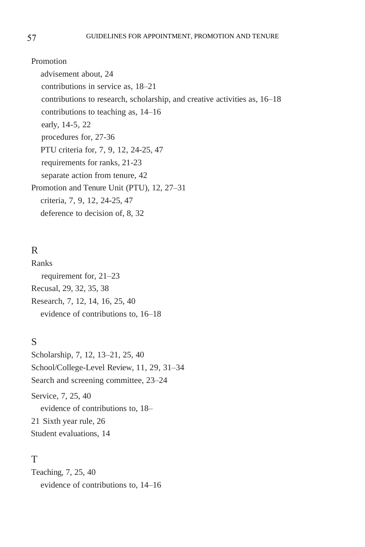Promotion advisement about, 24 contributions in service as, 18–21 contributions to research, scholarship, and creative activities as, 16–18 contributions to teaching as, 14–16 early, 14-5, 22 procedures for, 27-36 PTU criteria for, 7, 9, 12, 24-25, 47 requirements for ranks, 21-23 separate action from tenure, 42 Promotion and Tenure Unit (PTU), 12, 27–31 criteria, 7, 9, 12, 24-25, 47 deference to decision of, 8, 32

### R

Ranks requirement for, 21–23 Recusal, 29, 32, 35, 38 Research, 7, 12, 14, 16, 25, 40 evidence of contributions to, 16–18

# S

Scholarship, 7, 12, 13–21, 25, 40 School/College-Level Review, 11, 29, 31–34 Search and screening committee, 23–24 Service, 7, 25, 40 evidence of contributions to, 18– 21 Sixth year rule, 26 Student evaluations, 14

### T

Teaching, 7, 25, 40 evidence of contributions to, 14–16